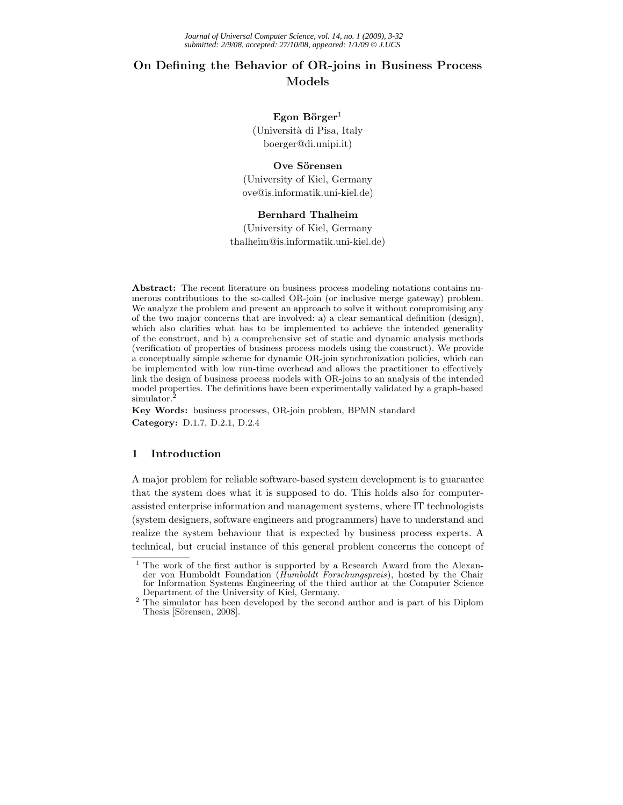# **On Defining the Behavior of OR-joins in Business Process Models**

# Egon Börger<sup>1</sup>

(Universit`a di Pisa, Italy boerger@di.unipi.it)

## Ove Sörensen

(University of Kiel, Germany ove@is.informatik.uni-kiel.de)

## **Bernhard Thalheim**

(University of Kiel, Germany thalheim@is.informatik.uni-kiel.de)

**Abstract:** The recent literature on business process modeling notations contains numerous contributions to the so-called OR-join (or inclusive merge gateway) problem. We analyze the problem and present an approach to solve it without compromising any of the two major concerns that are involved: a) a clear semantical definition (design), which also clarifies what has to be implemented to achieve the intended generality of the construct, and b) a comprehensive set of static and dynamic analysis methods (verification of properties of business process models using the construct). We provide a conceptually simple scheme for dynamic OR-join synchronization policies, which can be implemented with low run-time overhead and allows the practitioner to effectively link the design of business process models with OR-joins to an analysis of the intended model properties. The definitions have been experimentally validated by a graph-based simulator.

**Key Words:** business processes, OR-join problem, BPMN standard **Category:** D.1.7, D.2.1, D.2.4

# **1 Introduction**

A major problem for reliable software-based system development is to guarantee that the system does what it is supposed to do. This holds also for computerassisted enterprise information and management systems, where IT technologists (system designers, software engineers and programmers) have to understand and realize the system behaviour that is expected by business process experts. A technical, but crucial instance of this general problem concerns the concept of

<sup>&</sup>lt;sup>1</sup> The work of the first author is supported by a Research Award from the Alexander von Humboldt Foundation (*Humboldt Forschungspreis*), hosted by the Chair for Information Systems Engineering of the third author at the Computer Science

 $2$  The simulator has been developed by the second author and is part of his Diplom Thesis [Sörensen, 2008].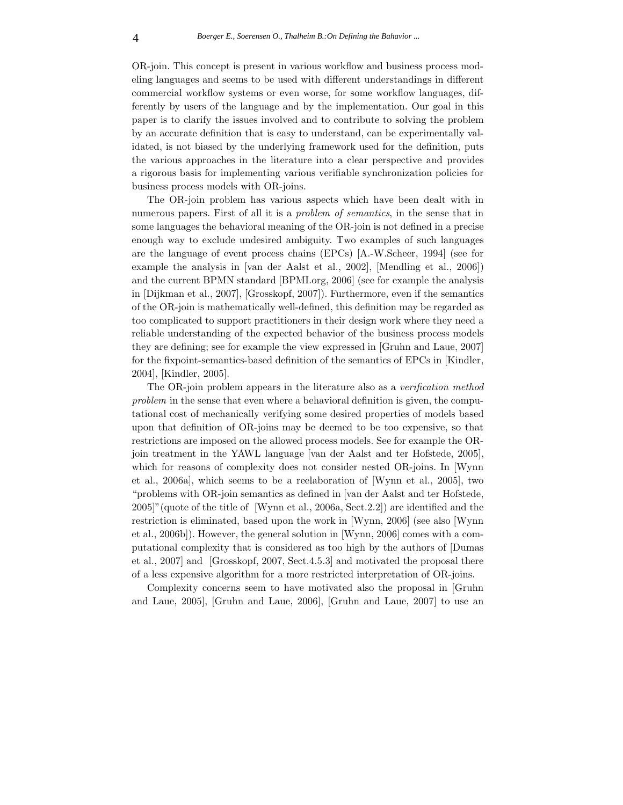OR-join. This concept is present in various workflow and business process modeling languages and seems to be used with different understandings in different commercial workflow systems or even worse, for some workflow languages, differently by users of the language and by the implementation. Our goal in this paper is to clarify the issues involved and to contribute to solving the problem by an accurate definition that is easy to understand, can be experimentally validated, is not biased by the underlying framework used for the definition, puts the various approaches in the literature into a clear perspective and provides a rigorous basis for implementing various verifiable synchronization policies for business process models with OR-joins.

The OR-join problem has various aspects which have been dealt with in numerous papers. First of all it is a *problem of semantics*, in the sense that in some languages the behavioral meaning of the OR-join is not defined in a precise enough way to exclude undesired ambiguity. Two examples of such languages are the language of event process chains (EPCs) [A.-W.Scheer, 1994] (see for example the analysis in [van der Aalst et al., 2002], [Mendling et al., 2006]) and the current BPMN standard [BPMI.org, 2006] (see for example the analysis in [Dijkman et al., 2007], [Grosskopf, 2007]). Furthermore, even if the semantics of the OR-join is mathematically well-defined, this definition may be regarded as too complicated to support practitioners in their design work where they need a reliable understanding of the expected behavior of the business process models they are defining; see for example the view expressed in [Gruhn and Laue, 2007] for the fixpoint-semantics-based definition of the semantics of EPCs in [Kindler, 2004], [Kindler, 2005].

The OR-join problem appears in the literature also as a *verification method problem* in the sense that even where a behavioral definition is given, the computational cost of mechanically verifying some desired properties of models based upon that definition of OR-joins may be deemed to be too expensive, so that restrictions are imposed on the allowed process models. See for example the ORjoin treatment in the YAWL language [van der Aalst and ter Hofstede, 2005], which for reasons of complexity does not consider nested OR-joins. In [Wynn] et al., 2006a], which seems to be a reelaboration of [Wynn et al., 2005], two "problems with OR-join semantics as defined in [van der Aalst and ter Hofstede, 2005]"(quote of the title of [Wynn et al., 2006a, Sect.2.2]) are identified and the restriction is eliminated, based upon the work in [Wynn, 2006] (see also [Wynn et al., 2006b]). However, the general solution in [Wynn, 2006] comes with a computational complexity that is considered as too high by the authors of [Dumas et al., 2007] and [Grosskopf, 2007, Sect.4.5.3] and motivated the proposal there of a less expensive algorithm for a more restricted interpretation of OR-joins.

Complexity concerns seem to have motivated also the proposal in [Gruhn and Laue, 2005], [Gruhn and Laue, 2006], [Gruhn and Laue, 2007] to use an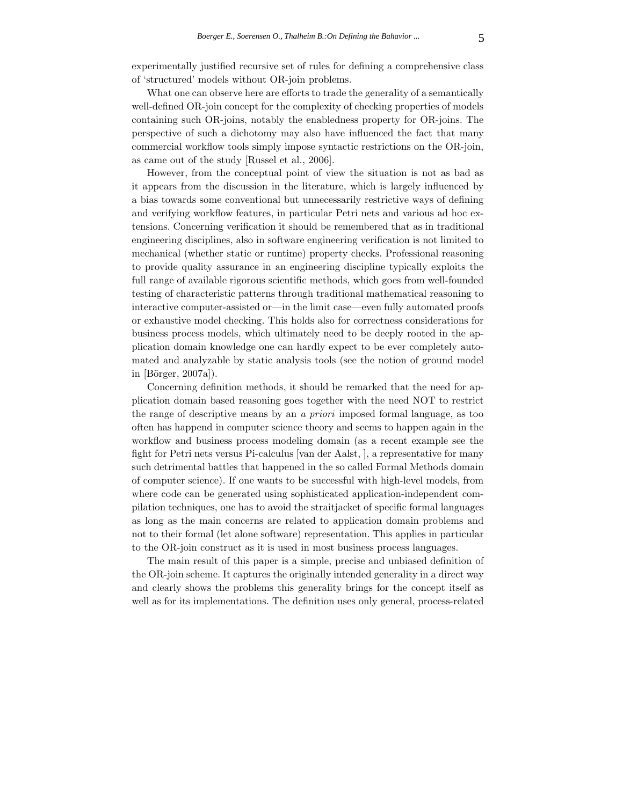experimentally justified recursive set of rules for defining a comprehensive class of 'structured' models without OR-join problems.

What one can observe here are efforts to trade the generality of a semantically well-defined OR-join concept for the complexity of checking properties of models containing such OR-joins, notably the enabledness property for OR-joins. The perspective of such a dichotomy may also have influenced the fact that many commercial workflow tools simply impose syntactic restrictions on the OR-join, as came out of the study [Russel et al., 2006].

However, from the conceptual point of view the situation is not as bad as it appears from the discussion in the literature, which is largely influenced by a bias towards some conventional but unnecessarily restrictive ways of defining and verifying workflow features, in particular Petri nets and various ad hoc extensions. Concerning verification it should be remembered that as in traditional engineering disciplines, also in software engineering verification is not limited to mechanical (whether static or runtime) property checks. Professional reasoning to provide quality assurance in an engineering discipline typically exploits the full range of available rigorous scientific methods, which goes from well-founded testing of characteristic patterns through traditional mathematical reasoning to interactive computer-assisted or—in the limit case—even fully automated proofs or exhaustive model checking. This holds also for correctness considerations for business process models, which ultimately need to be deeply rooted in the application domain knowledge one can hardly expect to be ever completely automated and analyzable by static analysis tools (see the notion of ground model in  $[B\ddot{\text{o}}\text{rger}, 2007a]$ ).

Concerning definition methods, it should be remarked that the need for application domain based reasoning goes together with the need NOT to restrict the range of descriptive means by an *a priori* imposed formal language, as too often has happend in computer science theory and seems to happen again in the workflow and business process modeling domain (as a recent example see the fight for Petri nets versus Pi-calculus [van der Aalst, ], a representative for many such detrimental battles that happened in the so called Formal Methods domain of computer science). If one wants to be successful with high-level models, from where code can be generated using sophisticated application-independent compilation techniques, one has to avoid the straitjacket of specific formal languages as long as the main concerns are related to application domain problems and not to their formal (let alone software) representation. This applies in particular to the OR-join construct as it is used in most business process languages.

The main result of this paper is a simple, precise and unbiased definition of the OR-join scheme. It captures the originally intended generality in a direct way and clearly shows the problems this generality brings for the concept itself as well as for its implementations. The definition uses only general, process-related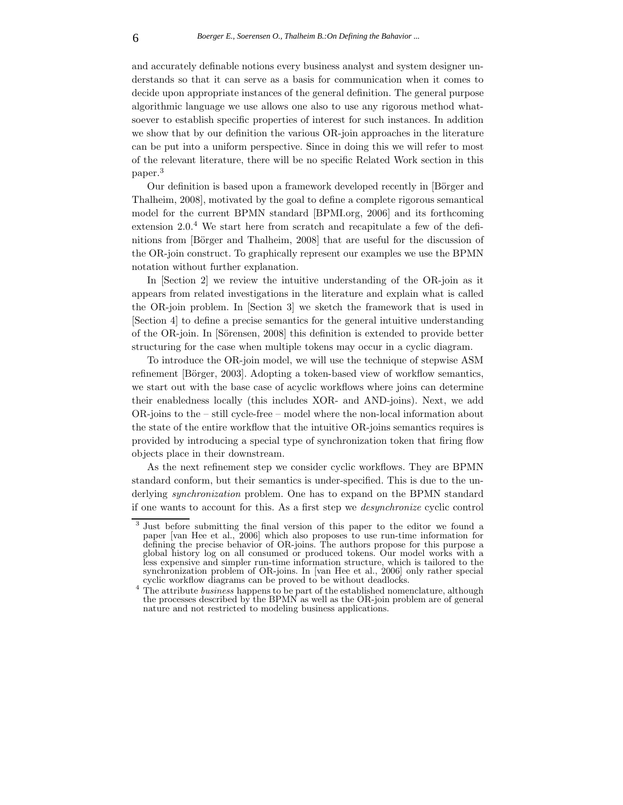and accurately definable notions every business analyst and system designer understands so that it can serve as a basis for communication when it comes to decide upon appropriate instances of the general definition. The general purpose algorithmic language we use allows one also to use any rigorous method whatsoever to establish specific properties of interest for such instances. In addition we show that by our definition the various OR-join approaches in the literature can be put into a uniform perspective. Since in doing this we will refer to most of the relevant literature, there will be no specific Related Work section in this paper.<sup>3</sup>

Our definition is based upon a framework developed recently in [Börger and Thalheim, 2008], motivated by the goal to define a complete rigorous semantical model for the current BPMN standard [BPMI.org, 2006] and its forthcoming extension 2.0.<sup>4</sup> We start here from scratch and recapitulate a few of the definitions from [Börger and Thalheim, 2008] that are useful for the discussion of the OR-join construct. To graphically represent our examples we use the BPMN notation without further explanation.

In [Section 2] we review the intuitive understanding of the OR-join as it appears from related investigations in the literature and explain what is called the OR-join problem. In [Section 3] we sketch the framework that is used in [Section 4] to define a precise semantics for the general intuitive understanding of the OR-join. In [Sörensen, 2008] this definition is extended to provide better structuring for the case when multiple tokens may occur in a cyclic diagram.

To introduce the OR-join model, we will use the technique of stepwise ASM refinement [Börger, 2003]. Adopting a token-based view of workflow semantics, we start out with the base case of acyclic workflows where joins can determine their enabledness locally (this includes XOR- and AND-joins). Next, we add OR-joins to the – still cycle-free – model where the non-local information about the state of the entire workflow that the intuitive OR-joins semantics requires is provided by introducing a special type of synchronization token that firing flow objects place in their downstream.

As the next refinement step we consider cyclic workflows. They are BPMN standard conform, but their semantics is under-specified. This is due to the underlying *synchronization* problem. One has to expand on the BPMN standard if one wants to account for this. As a first step we *desynchronize* cyclic control

<sup>&</sup>lt;sup>3</sup> Just before submitting the final version of this paper to the editor we found a paper [van Hee et al., 2006] which also proposes to use run-time information for defining the precise behavior of OR-joins. The authors propose for this purpose a global history log on all consumed or produced tokens. Our model works with a less expensive and simpler run-time information structure, which is tailored to the synchronization problem of OR-joins. In [van Hee et al., 2006] only rather special

cyclic workflow diagrams can be proved to be without deadlocks. <sup>4</sup> The attribute *business* happens to be part of the established nomenclature, although the processes described by the BPMN as well as the OR-join problem are of general nature and not restricted to modeling business applications.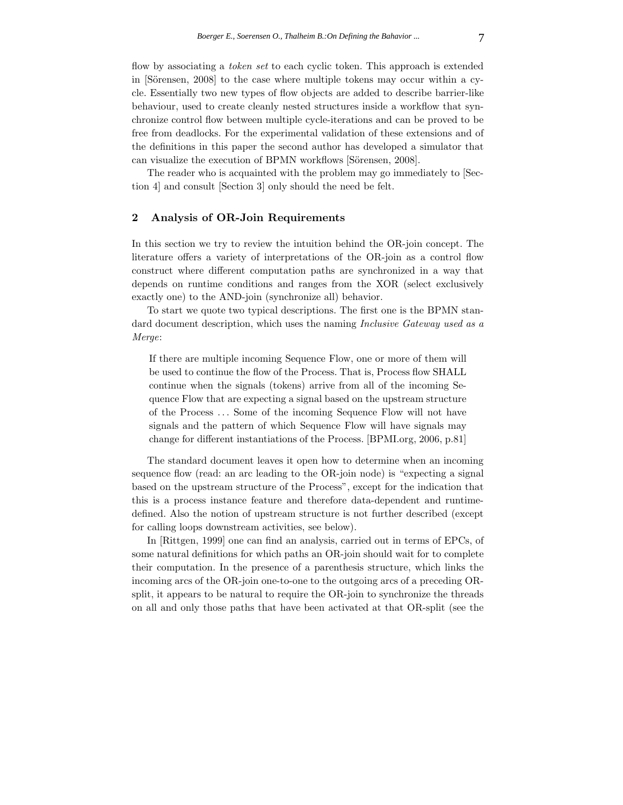flow by associating a *token set* to each cyclic token. This approach is extended in  $[S\ddot{o}$ rensen, 2008] to the case where multiple tokens may occur within a cycle. Essentially two new types of flow objects are added to describe barrier-like behaviour, used to create cleanly nested structures inside a workflow that synchronize control flow between multiple cycle-iterations and can be proved to be free from deadlocks. For the experimental validation of these extensions and of the definitions in this paper the second author has developed a simulator that can visualize the execution of BPMN workflows [Sörensen, 2008].

The reader who is acquainted with the problem may go immediately to [Section 4] and consult [Section 3] only should the need be felt.

### **2 Analysis of OR-Join Requirements**

In this section we try to review the intuition behind the OR-join concept. The literature offers a variety of interpretations of the OR-join as a control flow construct where different computation paths are synchronized in a way that depends on runtime conditions and ranges from the XOR (select exclusively exactly one) to the AND-join (synchronize all) behavior.

To start we quote two typical descriptions. The first one is the BPMN standard document description, which uses the naming *Inclusive Gateway used as a Merge*:

If there are multiple incoming Sequence Flow, one or more of them will be used to continue the flow of the Process. That is, Process flow SHALL continue when the signals (tokens) arrive from all of the incoming Sequence Flow that are expecting a signal based on the upstream structure of the Process *...* Some of the incoming Sequence Flow will not have signals and the pattern of which Sequence Flow will have signals may change for different instantiations of the Process. [BPMI.org, 2006, p.81]

The standard document leaves it open how to determine when an incoming sequence flow (read: an arc leading to the OR-join node) is "expecting a signal based on the upstream structure of the Process", except for the indication that this is a process instance feature and therefore data-dependent and runtimedefined. Also the notion of upstream structure is not further described (except for calling loops downstream activities, see below).

In [Rittgen, 1999] one can find an analysis, carried out in terms of EPCs, of some natural definitions for which paths an OR-join should wait for to complete their computation. In the presence of a parenthesis structure, which links the incoming arcs of the OR-join one-to-one to the outgoing arcs of a preceding ORsplit, it appears to be natural to require the OR-join to synchronize the threads on all and only those paths that have been activated at that OR-split (see the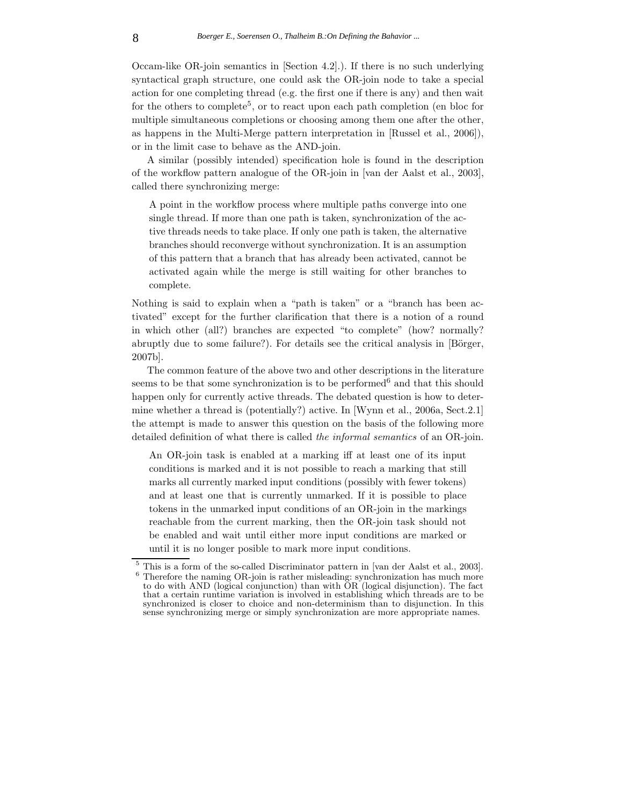Occam-like OR-join semantics in [Section 4.2].). If there is no such underlying syntactical graph structure, one could ask the OR-join node to take a special action for one completing thread (e.g. the first one if there is any) and then wait for the others to complete<sup>5</sup>, or to react upon each path completion (en bloc for multiple simultaneous completions or choosing among them one after the other, as happens in the Multi-Merge pattern interpretation in [Russel et al., 2006]), or in the limit case to behave as the AND-join.

A similar (possibly intended) specification hole is found in the description of the workflow pattern analogue of the OR-join in [van der Aalst et al., 2003], called there synchronizing merge:

A point in the workflow process where multiple paths converge into one single thread. If more than one path is taken, synchronization of the active threads needs to take place. If only one path is taken, the alternative branches should reconverge without synchronization. It is an assumption of this pattern that a branch that has already been activated, cannot be activated again while the merge is still waiting for other branches to complete.

Nothing is said to explain when a "path is taken" or a "branch has been activated" except for the further clarification that there is a notion of a round in which other (all?) branches are expected "to complete" (how? normally? abruptly due to some failure?). For details see the critical analysis in  $[Birgen,$ 2007b].

The common feature of the above two and other descriptions in the literature seems to be that some synchronization is to be performed<sup> $6$ </sup> and that this should happen only for currently active threads. The debated question is how to determine whether a thread is (potentially?) active. In [Wynn et al., 2006a, Sect.2.1] the attempt is made to answer this question on the basis of the following more detailed definition of what there is called *the informal semantics* of an OR-join.

An OR-join task is enabled at a marking iff at least one of its input conditions is marked and it is not possible to reach a marking that still marks all currently marked input conditions (possibly with fewer tokens) and at least one that is currently unmarked. If it is possible to place tokens in the unmarked input conditions of an OR-join in the markings reachable from the current marking, then the OR-join task should not be enabled and wait until either more input conditions are marked or until it is no longer posible to mark more input conditions.

 $^5$  This is a form of the so-called Discriminator pattern in [van der Aalst et al., 2003].  $^6$  Therefore the naming OR-join is rather misleading: synchronization has much more to do with AND (logical conjunction) than with OR (logical disjunction). The fact that a certain runtime variation is involved in establishing which threads are to be synchronized is closer to choice and non-determinism than to disjunction. In this sense synchronizing merge or simply synchronization are more appropriate names.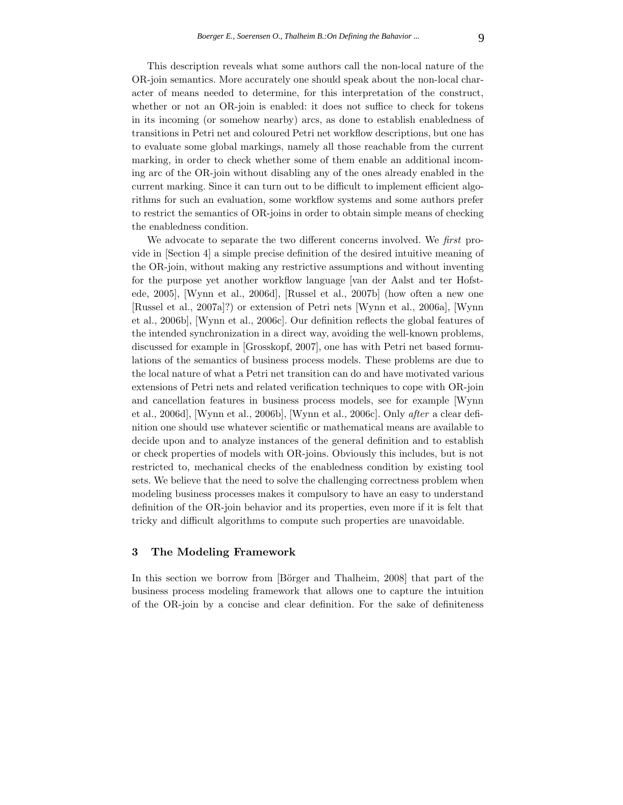This description reveals what some authors call the non-local nature of the OR-join semantics. More accurately one should speak about the non-local character of means needed to determine, for this interpretation of the construct, whether or not an OR-join is enabled: it does not suffice to check for tokens in its incoming (or somehow nearby) arcs, as done to establish enabledness of transitions in Petri net and coloured Petri net workflow descriptions, but one has to evaluate some global markings, namely all those reachable from the current marking, in order to check whether some of them enable an additional incoming arc of the OR-join without disabling any of the ones already enabled in the current marking. Since it can turn out to be difficult to implement efficient algorithms for such an evaluation, some workflow systems and some authors prefer to restrict the semantics of OR-joins in order to obtain simple means of checking the enabledness condition.

We advocate to separate the two different concerns involved. We *first* provide in [Section 4] a simple precise definition of the desired intuitive meaning of the OR-join, without making any restrictive assumptions and without inventing for the purpose yet another workflow language [van der Aalst and ter Hofstede, 2005], [Wynn et al., 2006d], [Russel et al., 2007b] (how often a new one [Russel et al., 2007a]?) or extension of Petri nets [Wynn et al., 2006a], [Wynn et al., 2006b], [Wynn et al., 2006c]. Our definition reflects the global features of the intended synchronization in a direct way, avoiding the well-known problems, discussed for example in [Grosskopf, 2007], one has with Petri net based formulations of the semantics of business process models. These problems are due to the local nature of what a Petri net transition can do and have motivated various extensions of Petri nets and related verification techniques to cope with OR-join and cancellation features in business process models, see for example [Wynn et al., 2006d], [Wynn et al., 2006b], [Wynn et al., 2006c]. Only *after* a clear definition one should use whatever scientific or mathematical means are available to decide upon and to analyze instances of the general definition and to establish or check properties of models with OR-joins. Obviously this includes, but is not restricted to, mechanical checks of the enabledness condition by existing tool sets. We believe that the need to solve the challenging correctness problem when modeling business processes makes it compulsory to have an easy to understand definition of the OR-join behavior and its properties, even more if it is felt that tricky and difficult algorithms to compute such properties are unavoidable.

### **3 The Modeling Framework**

In this section we borrow from [Börger and Thalheim, 2008] that part of the business process modeling framework that allows one to capture the intuition of the OR-join by a concise and clear definition. For the sake of definiteness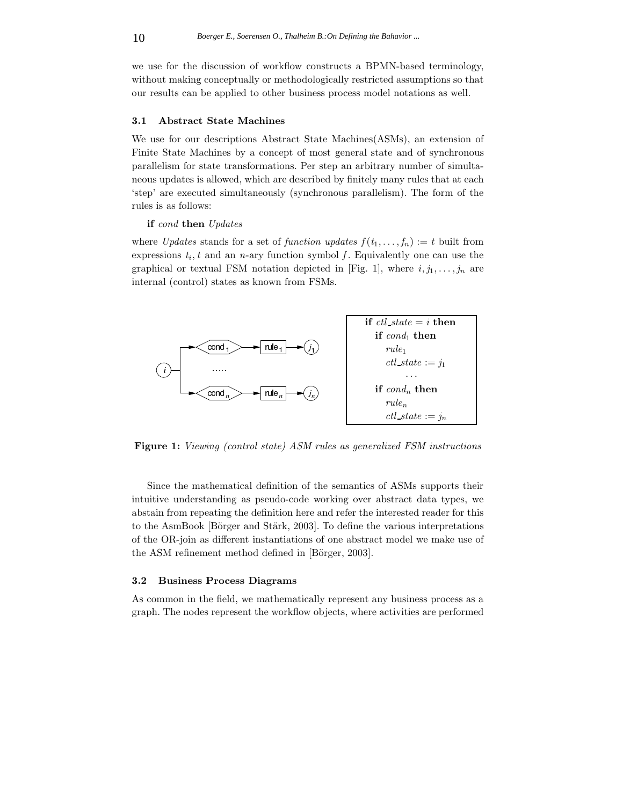we use for the discussion of workflow constructs a BPMN-based terminology, without making conceptually or methodologically restricted assumptions so that our results can be applied to other business process model notations as well.

#### **3.1 Abstract State Machines**

We use for our descriptions Abstract State Machines(ASMs), an extension of Finite State Machines by a concept of most general state and of synchronous parallelism for state transformations. Per step an arbitrary number of simultaneous updates is allowed, which are described by finitely many rules that at each 'step' are executed simultaneously (synchronous parallelism). The form of the rules is as follows:

#### **if** *cond* **then** *Updates*

where *Updates* stands for a set of *function updates*  $f(t_1, \ldots, t_n) := t$  built from expressions  $t_i$ ,  $t$  and an  $n$ -ary function symbol  $f$ . Equivalently one can use the graphical or textual FSM notation depicted in [Fig. 1], where  $i, j_1, \ldots, j_n$  are internal (control) states as known from FSMs.



**Figure 1:** *Viewing (control state) ASM rules as generalized FSM instructions*

Since the mathematical definition of the semantics of ASMs supports their intuitive understanding as pseudo-code working over abstract data types, we abstain from repeating the definition here and refer the interested reader for this to the AsmBook [Börger and Stärk, 2003]. To define the various interpretations of the OR-join as different instantiations of one abstract model we make use of the ASM refinement method defined in [Börger, 2003].

### **3.2 Business Process Diagrams**

As common in the field, we mathematically represent any business process as a graph. The nodes represent the workflow objects, where activities are performed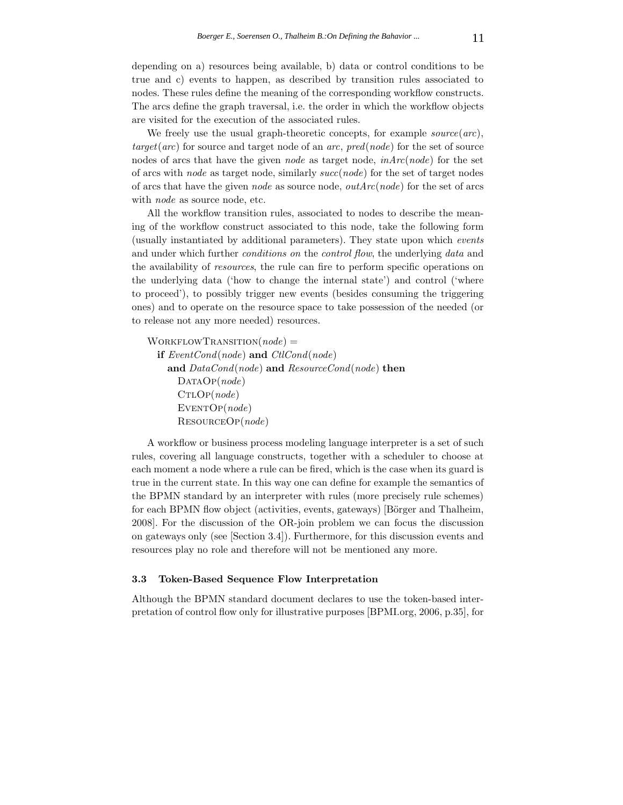depending on a) resources being available, b) data or control conditions to be true and c) events to happen, as described by transition rules associated to nodes. These rules define the meaning of the corresponding workflow constructs. The arcs define the graph traversal, i.e. the order in which the workflow objects are visited for the execution of the associated rules.

We freely use the usual graph-theoretic concepts, for example *source*(*arc*), *target*(*arc*) for source and target node of an *arc*, *pred*(*node*) for the set of source nodes of arcs that have the given *node* as target node, *inArc*(*node*) for the set of arcs with *node* as target node, similarly *succ*(*node*) for the set of target nodes of arcs that have the given *node* as source node, *outArc*(*node*) for the set of arcs with *node* as source node, etc.

All the workflow transition rules, associated to nodes to describe the meaning of the workflow construct associated to this node, take the following form (usually instantiated by additional parameters). They state upon which *events* and under which further *conditions on* the *control flow*, the underlying *data* and the availability of *resources*, the rule can fire to perform specific operations on the underlying data ('how to change the internal state') and control ('where to proceed'), to possibly trigger new events (besides consuming the triggering ones) and to operate on the resource space to take possession of the needed (or to release not any more needed) resources.

WorkflowTransition(*node*) = **if** *EventCond*(*node*) **and** *CtlCond*(*node*) **and** *DataCond*(*node*) **and** *ResourceCond*(*node*) **then** DATAO<sub>P</sub>(*node*) CtlOp(*node*) EVENTOP(*node*) ResourceOp(*node*)

A workflow or business process modeling language interpreter is a set of such rules, covering all language constructs, together with a scheduler to choose at each moment a node where a rule can be fired, which is the case when its guard is true in the current state. In this way one can define for example the semantics of the BPMN standard by an interpreter with rules (more precisely rule schemes) for each BPMN flow object (activities, events, gateways) [Börger and Thalheim, 2008]. For the discussion of the OR-join problem we can focus the discussion on gateways only (see [Section 3.4]). Furthermore, for this discussion events and resources play no role and therefore will not be mentioned any more.

#### **3.3 Token-Based Sequence Flow Interpretation**

Although the BPMN standard document declares to use the token-based interpretation of control flow only for illustrative purposes [BPMI.org, 2006, p.35], for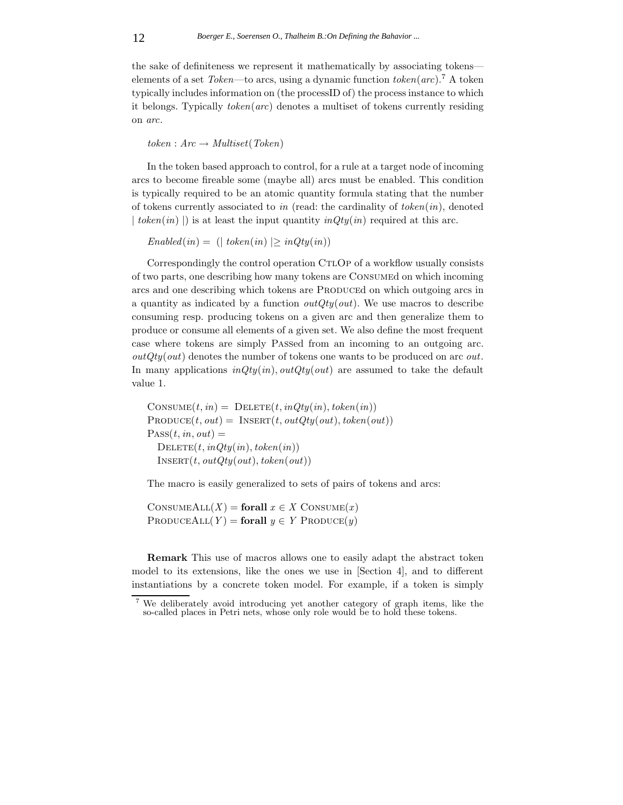the sake of definiteness we represent it mathematically by associating tokens elements of a set *Token*—to arcs, using a dynamic function *token*(*arc*).<sup>7</sup> A token typically includes information on (the processID of) the process instance to which it belongs. Typically *token*(*arc*) denotes a multiset of tokens currently residing on *arc*.

 $token: Arc \rightarrow Multiset(Token)$ 

In the token based approach to control, for a rule at a target node of incoming arcs to become fireable some (maybe all) arcs must be enabled. This condition is typically required to be an atomic quantity formula stating that the number of tokens currently associated to *in* (read: the cardinality of *token*(*in*), denoted  $\mid$  *token* $(in)$ ) is at least the input quantity  $inQty(in)$  required at this arc.

 $Enabeled(in) = (| token(in) | > inQty(in))$ 

Correspondingly the control operation CTLOP of a workflow usually consists of two parts, one describing how many tokens are Consumed on which incoming arcs and one describing which tokens are PRODUCEd on which outgoing arcs in a quantity as indicated by a function *outQty*(*out*). We use macros to describe consuming resp. producing tokens on a given arc and then generalize them to produce or consume all elements of a given set. We also define the most frequent case where tokens are simply Passed from an incoming to an outgoing arc. *outQty*(*out*) denotes the number of tokens one wants to be produced on arc *out*. In many applications *inQty*(*in*)*, outQty*(*out*) are assumed to take the default value 1.

 $\text{CONSUME}(t, in) = \text{DELETE}(t, inQty(in), token(in))$  $PRODUCE(t, out) = INSERT(t, outQty(out), token(out)$  $PASS(t, in, out) =$  $D \text{ELETE}(t, inQty(in), token(in))$  $INSERT(t, outQty(out), token(out)$ 

The macro is easily generalized to sets of pairs of tokens and arcs:

 $\text{CONSUMEALL}(X) = \text{for all } x \in X \text{ CONSUME}(x)$  $PRODUEALL(Y) = **for all** y \in Y$  PRODUCE $(y)$ 

**Remark** This use of macros allows one to easily adapt the abstract token model to its extensions, like the ones we use in [Section 4], and to different instantiations by a concrete token model. For example, if a token is simply

We deliberately avoid introducing yet another category of graph items, like the so-called places in Petri nets, whose only role would be to hold these tokens.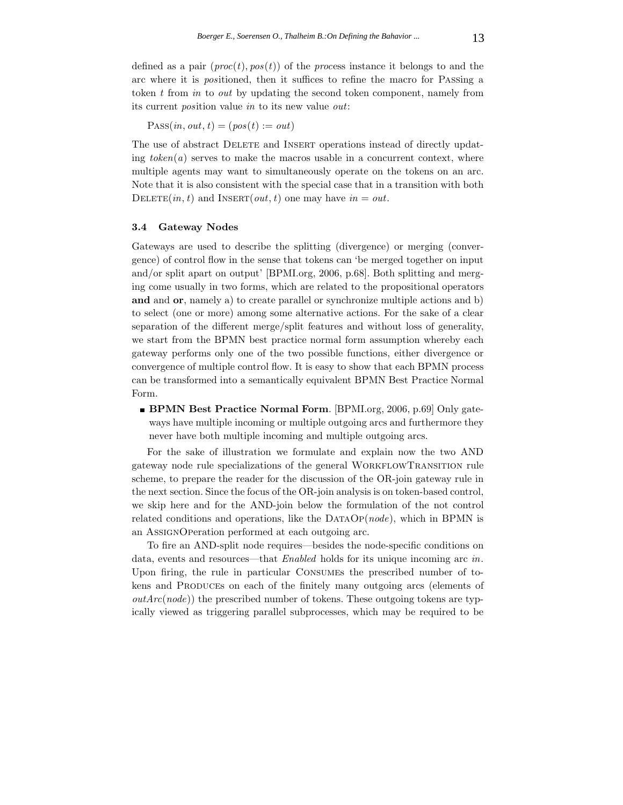defined as a pair  $(proc(t), pos(t))$  of the *process* instance it belongs to and the arc where it is *pos*itioned, then it suffices to refine the macro for Passing a token *t* from *in* to *out* by updating the second token component, namely from its current *pos*ition value *in* to its new value *out*:

 $\text{Pass}(in, out, t) = (pos(t) := out)$ 

The use of abstract DELETE and INSERT operations instead of directly updating  $token(a)$  serves to make the macros usable in a concurrent context, where multiple agents may want to simultaneously operate on the tokens on an arc. Note that it is also consistent with the special case that in a transition with both DELETE $(in, t)$  and INSERT $(out, t)$  one may have  $in = out$ .

### **3.4 Gateway Nodes**

Gateways are used to describe the splitting (divergence) or merging (convergence) of control flow in the sense that tokens can 'be merged together on input and/or split apart on output' [BPMI.org, 2006, p.68]. Both splitting and merging come usually in two forms, which are related to the propositional operators **and** and **or**, namely a) to create parallel or synchronize multiple actions and b) to select (one or more) among some alternative actions. For the sake of a clear separation of the different merge/split features and without loss of generality, we start from the BPMN best practice normal form assumption whereby each gateway performs only one of the two possible functions, either divergence or convergence of multiple control flow. It is easy to show that each BPMN process can be transformed into a semantically equivalent BPMN Best Practice Normal Form.

**BPMN Best Practice Normal Form**. [BPMI.org, 2006, p.69] Only gateways have multiple incoming or multiple outgoing arcs and furthermore they never have both multiple incoming and multiple outgoing arcs.

For the sake of illustration we formulate and explain now the two AND gateway node rule specializations of the general WorkflowTransition rule scheme, to prepare the reader for the discussion of the OR-join gateway rule in the next section. Since the focus of the OR-join analysis is on token-based control, we skip here and for the AND-join below the formulation of the not control related conditions and operations, like the DATAOP(*node*), which in BPMN is an AssignOperation performed at each outgoing arc.

To fire an AND-split node requires—besides the node-specific conditions on data, events and resources—that *Enabled* holds for its unique incoming arc *in*. Upon firing, the rule in particular Consumes the prescribed number of tokens and PRODUCEs on each of the finitely many outgoing arcs (elements of *outArc*(*node*)) the prescribed number of tokens. These outgoing tokens are typically viewed as triggering parallel subprocesses, which may be required to be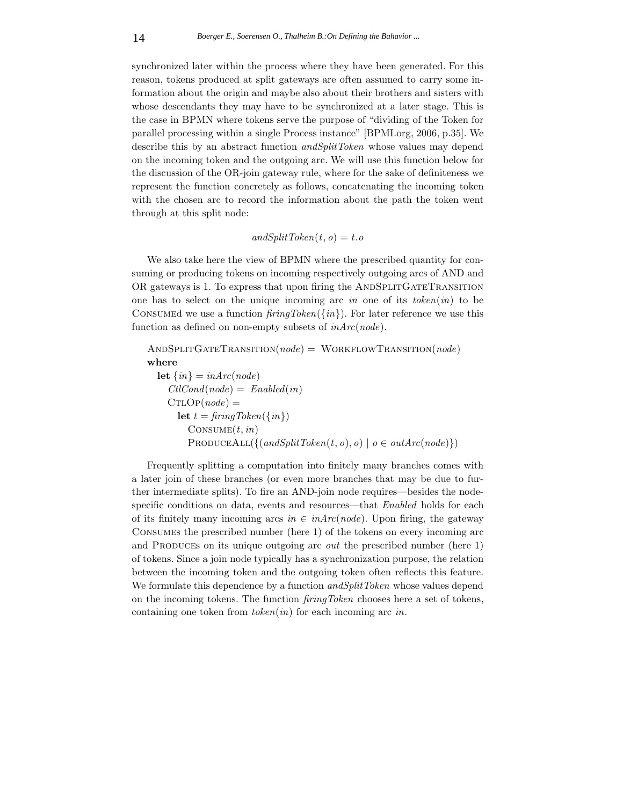synchronized later within the process where they have been generated. For this reason, tokens produced at split gateways are often assumed to carry some information about the origin and maybe also about their brothers and sisters with whose descendants they may have to be synchronized at a later stage. This is the case in BPMN where tokens serve the purpose of "dividing of the Token for parallel processing within a single Process instance" [BPMI.org, 2006, p.35]. We describe this by an abstract function *andSplitToken* whose values may depend on the incoming token and the outgoing arc. We will use this function below for the discussion of the OR-join gateway rule, where for the sake of definiteness we represent the function concretely as follows, concatenating the incoming token with the chosen arc to record the information about the path the token went through at this split node:

### $andSplitToken(t, o) = t.o$

We also take here the view of BPMN where the prescribed quantity for consuming or producing tokens on incoming respectively outgoing arcs of AND and OR gateways is 1. To express that upon firing the ANDSPLITGATETRANSITION one has to select on the unique incoming arc *in* one of its *token*(*in*) to be Consumed we use a function *firingToken*({*in*}). For later reference we use this function as defined on non-empty subsets of *inArc*(*node*).

```
AndSplitGateTransition(node) = WorkflowTransition(node)
where
 let \{in\} = inArc(node)CllCond(node) = Enabled(in)CTLOP(node) =let t = \text{fringToken}(\{\text{in}\})Consume(t, in)
        PRODUCEALL({{(andSplitToken(t, o), o) | o ∈ outArc(node)}})
```
Frequently splitting a computation into finitely many branches comes with a later join of these branches (or even more branches that may be due to further intermediate splits). To fire an AND-join node requires—besides the nodespecific conditions on data, events and resources—that *Enabled* holds for each of its finitely many incoming arcs  $in \in inArc(node)$ . Upon firing, the gateway Consumes the prescribed number (here 1) of the tokens on every incoming arc and PRODUCES on its unique outgoing arc *out* the prescribed number (here 1) of tokens. Since a join node typically has a synchronization purpose, the relation between the incoming token and the outgoing token often reflects this feature. We formulate this dependence by a function *andSplitToken* whose values depend on the incoming tokens. The function *firingToken* chooses here a set of tokens, containing one token from *token*(*in*) for each incoming arc *in*.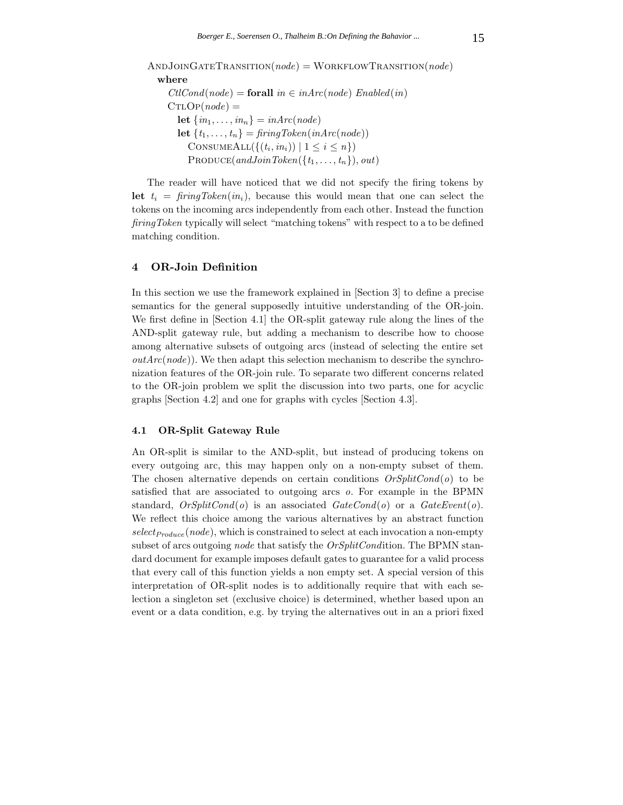AndJoinGateTransition(*node*) = WorkflowTransition(*node*) **where**  $CllCond(node) =$ **forall**  $in \in inArc(node)$  *Enabled*(*in*)  $CTLOP(node) =$ **let**  $\{in_1, \ldots, in_n\} = inArc(node)$ **let**  $\{t_1, \ldots, t_n\} = \text{firingToken}( \text{inArc}(\text{node}))$ CONSUMEALL( $\{(t_i, in_i) | 1 \leq i \leq n\}$ )  $\text{PRODuce}(andJoinToken(\lbrace t_1,\ldots,t_n \rbrace), out)$ 

The reader will have noticed that we did not specify the firing tokens by **let**  $t_i = \text{fring} \text{Token}(in_i)$ , because this would mean that one can select the tokens on the incoming arcs independently from each other. Instead the function *firingToken* typically will select "matching tokens" with respect to a to be defined matching condition.

### **4 OR-Join Definition**

In this section we use the framework explained in [Section 3] to define a precise semantics for the general supposedly intuitive understanding of the OR-join. We first define in [Section 4.1] the OR-split gateway rule along the lines of the AND-split gateway rule, but adding a mechanism to describe how to choose among alternative subsets of outgoing arcs (instead of selecting the entire set *outArc*(*node*)). We then adapt this selection mechanism to describe the synchronization features of the OR-join rule. To separate two different concerns related to the OR-join problem we split the discussion into two parts, one for acyclic graphs [Section 4.2] and one for graphs with cycles [Section 4.3].

#### **4.1 OR-Split Gateway Rule**

An OR-split is similar to the AND-split, but instead of producing tokens on every outgoing arc, this may happen only on a non-empty subset of them. The chosen alternative depends on certain conditions *OrSplitCond*(*o*) to be satisfied that are associated to outgoing arcs *o*. For example in the BPMN standard, *OrSplitCond*(*o*) is an associated *GateCond*(*o*) or a *GateEvent*(*o*). We reflect this choice among the various alternatives by an abstract function *selectProduce*(*node*), which is constrained to select at each invocation a non-empty subset of arcs outgoing *node* that satisfy the *OrSplitCond*ition. The BPMN standard document for example imposes default gates to guarantee for a valid process that every call of this function yields a non empty set. A special version of this interpretation of OR-split nodes is to additionally require that with each selection a singleton set (exclusive choice) is determined, whether based upon an event or a data condition, e.g. by trying the alternatives out in an a priori fixed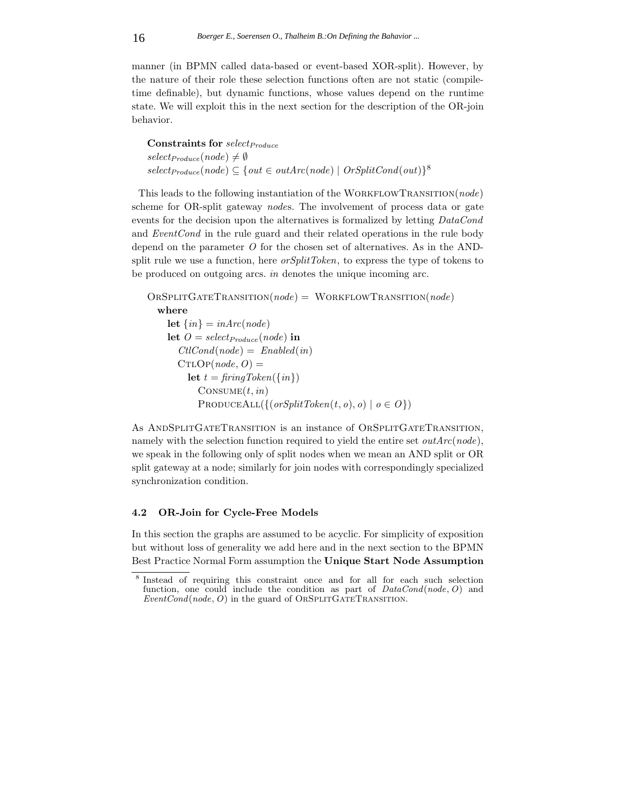manner (in BPMN called data-based or event-based XOR-split). However, by the nature of their role these selection functions often are not static (compiletime definable), but dynamic functions, whose values depend on the runtime state. We will exploit this in the next section for the description of the OR-join behavior.

**Constraints for** *selectProduce*  $select_{Produce}(node) \neq \emptyset$  $select_{produce}(node) \subseteq \{out \in outArc(node) | \text{OrSplitCond(out)}\}^8$ 

This leads to the following instantiation of the WORKFLOWTRANSITION(*node*) scheme for OR-split gateway *node*s. The involvement of process data or gate events for the decision upon the alternatives is formalized by letting *DataCond* and *EventCond* in the rule guard and their related operations in the rule body depend on the parameter *O* for the chosen set of alternatives. As in the ANDsplit rule we use a function, here *orSplitToken*, to express the type of tokens to be produced on outgoing arcs. *in* denotes the unique incoming arc.

```
OrSplitGateTransition(node) = WorkflowTransition(node)
  where
    let \{in\} = inArc(node)let O = \text{select}_{\text{Produce}}(\text{node}) in
       CllCond(node) = Enabled(in)CTLOP(node, O) =let t = \text{fringToken}(\{\text{in}\})Consume(t, in)
           PRODUEALL({ (orSplitToken(t, o), o) | o \in O})
```
As AndSplitGateTransition is an instance of OrSplitGateTransition, namely with the selection function required to yield the entire set *outArc*(*node*), we speak in the following only of split nodes when we mean an AND split or OR split gateway at a node; similarly for join nodes with correspondingly specialized synchronization condition.

# **4.2 OR-Join for Cycle-Free Models**

In this section the graphs are assumed to be acyclic. For simplicity of exposition but without loss of generality we add here and in the next section to the BPMN Best Practice Normal Form assumption the **Unique Start Node Assumption**

<sup>8</sup> Instead of requiring this constraint once and for all for each such selection function, one could include the condition as part of *DataCond*(*node, O*) and *EventCond*(*node, O*) in the guard of OrSplitGateTransition.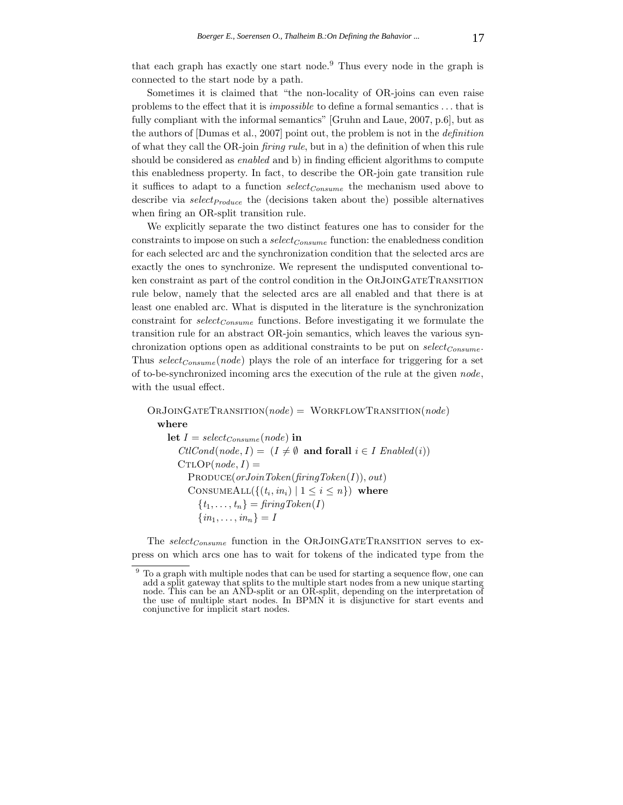that each graph has exactly one start node.<sup>9</sup> Thus every node in the graph is connected to the start node by a path.

Sometimes it is claimed that "the non-locality of OR-joins can even raise problems to the effect that it is *impossible* to define a formal semantics *...* that is fully compliant with the informal semantics" [Gruhn and Laue, 2007, p.6], but as the authors of [Dumas et al., 2007] point out, the problem is not in the *definition* of what they call the OR-join *firing rule*, but in a) the definition of when this rule should be considered as *enabled* and b) in finding efficient algorithms to compute this enabledness property. In fact, to describe the OR-join gate transition rule it suffices to adapt to a function *selectConsume* the mechanism used above to describe via *selectProduce* the (decisions taken about the) possible alternatives when firing an OR-split transition rule.

We explicitly separate the two distinct features one has to consider for the constraints to impose on such a *selectConsume* function: the enabledness condition for each selected arc and the synchronization condition that the selected arcs are exactly the ones to synchronize. We represent the undisputed conventional token constraint as part of the control condition in the ORJOINGATETRANSITION rule below, namely that the selected arcs are all enabled and that there is at least one enabled arc. What is disputed in the literature is the synchronization constraint for *selectConsume* functions. Before investigating it we formulate the transition rule for an abstract OR-join semantics, which leaves the various synchronization options open as additional constraints to be put on *selectConsume* . Thus *selectConsume* (*node*) plays the role of an interface for triggering for a set of to-be-synchronized incoming arcs the execution of the rule at the given *node*, with the usual effect.

OrJoinGateTransition(*node*) = WorkflowTransition(*node*) **where let**  $I = select_{Consum}(node)$  **in**  $Cl: Cond(node, I) = (I \neq \emptyset \text{ and for all } i \in I \; \text{Enabled}(i))$  $CTLOP(node, I) =$ Produce(*orJoinToken*(*firingToken*(*I*))*, out*) CONSUMEALL $(\{(t_i, in_i) \mid 1 \leq i \leq n\})$  where  ${t_1, \ldots, t_n} = firingToken(I)$  $\{in_1, \ldots, in_n\} = I$ 

The *select<sub>Consume</sub>* function in the ORJOINGATETRANSITION serves to express on which arcs one has to wait for tokens of the indicated type from the

 $9$  To a graph with multiple nodes that can be used for starting a sequence flow, one can add a split gateway that splits to the multiple start nodes from a new unique starting node. This can be an AND-split or an OR-split, depending on the interpretation of the use of multiple start nodes. In BPMN it is disjunctive for start events and conjunctive for implicit start nodes.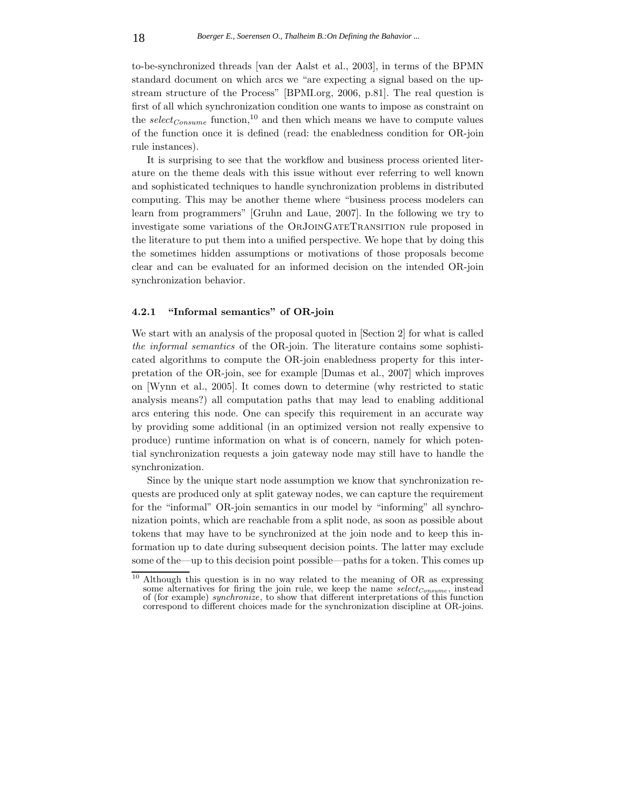to-be-synchronized threads [van der Aalst et al., 2003], in terms of the BPMN standard document on which arcs we "are expecting a signal based on the upstream structure of the Process" [BPMI.org, 2006, p.81]. The real question is first of all which synchronization condition one wants to impose as constraint on the  $select_{Consum}$  function,<sup>10</sup> and then which means we have to compute values of the function once it is defined (read: the enabledness condition for OR-join rule instances).

It is surprising to see that the workflow and business process oriented literature on the theme deals with this issue without ever referring to well known and sophisticated techniques to handle synchronization problems in distributed computing. This may be another theme where "business process modelers can learn from programmers" [Gruhn and Laue, 2007]. In the following we try to investigate some variations of the OrJoinGateTransition rule proposed in the literature to put them into a unified perspective. We hope that by doing this the sometimes hidden assumptions or motivations of those proposals become clear and can be evaluated for an informed decision on the intended OR-join synchronization behavior.

### **4.2.1 "Informal semantics" of OR-join**

We start with an analysis of the proposal quoted in [Section 2] for what is called *the informal semantics* of the OR-join. The literature contains some sophisticated algorithms to compute the OR-join enabledness property for this interpretation of the OR-join, see for example [Dumas et al., 2007] which improves on [Wynn et al., 2005]. It comes down to determine (why restricted to static analysis means?) all computation paths that may lead to enabling additional arcs entering this node. One can specify this requirement in an accurate way by providing some additional (in an optimized version not really expensive to produce) runtime information on what is of concern, namely for which potential synchronization requests a join gateway node may still have to handle the synchronization.

Since by the unique start node assumption we know that synchronization requests are produced only at split gateway nodes, we can capture the requirement for the "informal" OR-join semantics in our model by "informing" all synchronization points, which are reachable from a split node, as soon as possible about tokens that may have to be synchronized at the join node and to keep this information up to date during subsequent decision points. The latter may exclude some of the—up to this decision point possible—paths for a token. This comes up

<sup>10</sup> Although this question is in no way related to the meaning of OR as expressing some alternatives for firing the join rule, we keep the name *selectConsume* , instead of (for example) *synchronize*, to show that different interpretations of this function correspond to different choices made for the synchronization discipline at OR-joins.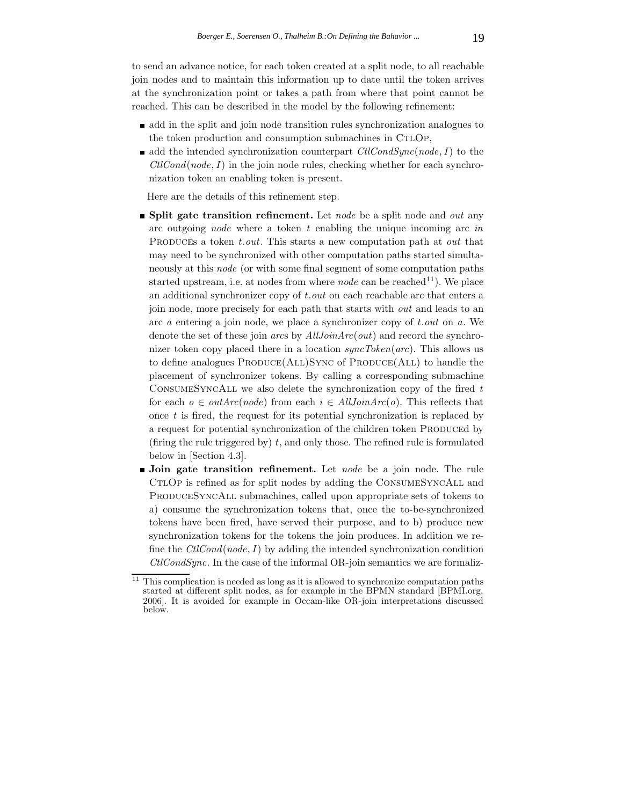to send an advance notice, for each token created at a split node, to all reachable join nodes and to maintain this information up to date until the token arrives at the synchronization point or takes a path from where that point cannot be reached. This can be described in the model by the following refinement:

- add in the split and join node transition rules synchronization analogues to the token production and consumption submachines in CTLOP,
- add the intended synchronization counterpart  $\text{Cl} \text{Cond} \text{S} \text{ync}(\text{node}, I)$  to the  $ClCond(node, I)$  in the join node rules, checking whether for each synchronization token an enabling token is present.

Here are the details of this refinement step.

- **Split gate transition refinement.** Let *node* be a split node and *out* any arc outgoing *node* where a token *t* enabling the unique incoming arc *in* Produces a token *t.out*. This starts a new computation path at *out* that may need to be synchronized with other computation paths started simultaneously at this *node* (or with some final segment of some computation paths started upstream, i.e. at nodes from where *node* can be reached<sup>11</sup>). We place an additional synchronizer copy of *t.out* on each reachable arc that enters a join node, more precisely for each path that starts with *out* and leads to an arc *a* entering a join node, we place a synchronizer copy of *t.out* on *a*. We denote the set of these join *arc*s by *AllJoinArc*(*out*) and record the synchronizer token copy placed there in a location *syncToken*(*arc*). This allows us to define analogues  $PRODICE(ALL)$ Sync of  $PRODICE(ALL)$  to handle the placement of synchronizer tokens. By calling a corresponding submachine ConsumeSyncAll we also delete the synchronization copy of the fired *t* for each  $o \in outArc(node)$  from each  $i \in AllJoinArc(o)$ . This reflects that once *t* is fired, the request for its potential synchronization is replaced by a request for potential synchronization of the children token PRODUCEd by (firing the rule triggered by) *t*, and only those. The refined rule is formulated below in [Section 4.3].
- **Join gate transition refinement.** Let *node* be a join node. The rule CTLOP is refined as for split nodes by adding the CONSUMESYNCALL and ProduceSyncAll submachines, called upon appropriate sets of tokens to a) consume the synchronization tokens that, once the to-be-synchronized tokens have been fired, have served their purpose, and to b) produce new synchronization tokens for the tokens the join produces. In addition we refine the *CtlCond*(*node,I*) by adding the intended synchronization condition *CtlCondSync*. In the case of the informal OR-join semantics we are formaliz-

 $11$  This complication is needed as long as it is allowed to synchronize computation paths started at different split nodes, as for example in the BPMN standard [BPMI.org, 2006]. It is avoided for example in Occam-like OR-join interpretations discussed below.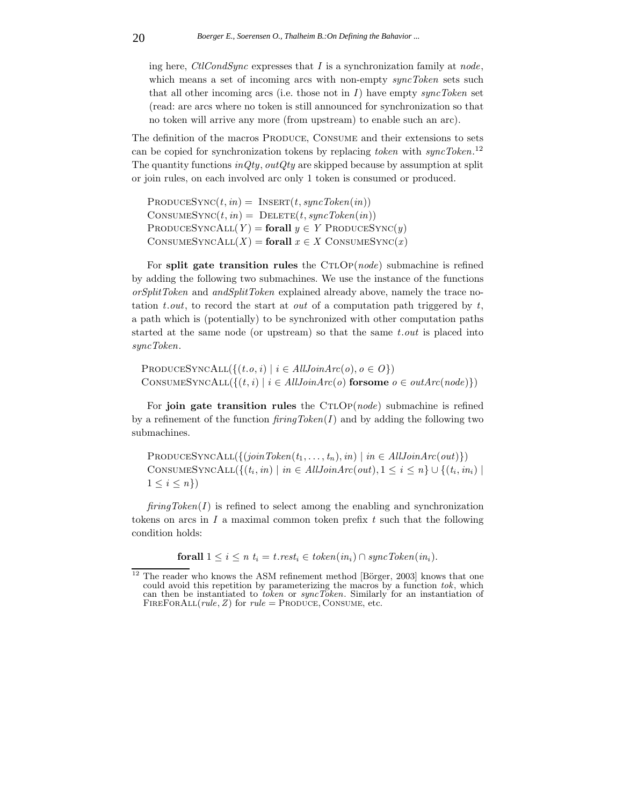ing here, *CtlCondSync* expresses that *I* is a synchronization family at *node*, which means a set of incoming arcs with non-empty *syncToken* sets such that all other incoming arcs (i.e. those not in *I*) have empty *syncToken* set (read: are arcs where no token is still announced for synchronization so that no token will arrive any more (from upstream) to enable such an arc).

The definition of the macros PRODUCE, CONSUME and their extensions to sets can be copied for synchronization tokens by replacing *token* with *syncToken*. 12 The quantity functions *inQty, outQty* are skipped because by assumption at split or join rules, on each involved arc only 1 token is consumed or produced.

 $PRODUCESYNC(t, in) = INSERT(t, syncToken(in))$  $\text{CONSUMESYNC}(t, in) = \text{DELETE}(t, syncToken(in))$  $PRODUCESYNCALL(Y) = \textbf{for all } y \in Y$  PRODUCESYNC(*y*)  $\text{CONSUMESYNCALL}(X) = \text{for all } x \in X \text{ CONSUMESYNC}(x)$ 

For **split gate transition rules** the CTLOP(*node*) submachine is refined by adding the following two submachines. We use the instance of the functions *orSplitToken* and *andSplitToken* explained already above, namely the trace notation *t.out*, to record the start at *out* of a computation path triggered by *t*, a path which is (potentially) to be synchronized with other computation paths started at the same node (or upstream) so that the same *t.out* is placed into *syncToken*.

 $\text{PRODUCESYNCALL}({\{(t.o, i) \mid i \in AllJoinArc(o), o \in O\}})$ CONSUMESYNCALL( $\{(t, i) | i \in AllJoinArc(o) \text{ for some } o \in outArc(node)\}\)$ 

For **join gate transition rules** the CTLOP(*node*) submachine is refined by a refinement of the function *firingToken*(*I*) and by adding the following two submachines.

 $PRODUCESYNCALL({{(joinToken(t_1, ..., t_n), in) | in \in AllJoinArc(out)}})$ CONSUMESYNCALL({ $(t_i, in) \mid in \in AllJoinArc(out), 1 \leq i \leq n$ }  $\cup$  { $(t_i, in_i) \mid$  $1 \leq i \leq n\}$ 

 $firingToken(I)$  is refined to select among the enabling and synchronization tokens on arcs in *I* a maximal common token prefix *t* such that the following condition holds:

**forall**  $1 \leq i \leq n$   $t_i = t$ *.rest<sub>i</sub>*  $\in$  *token*(*in<sub>i</sub>*)  $\cap$  *syncToken*(*in<sub>i</sub>*)*.* 

 $12$  The reader who knows the ASM refinement method [Börger, 2003] knows that one could avoid this repetition by parameterizing the macros by a function *tok*, which can then be instantiated to *token* or *syncToken*. Similarly for an instantiation of FIREFORALL $(rule, Z)$  for  $rule =$  PRODUCE, CONSUME, etc.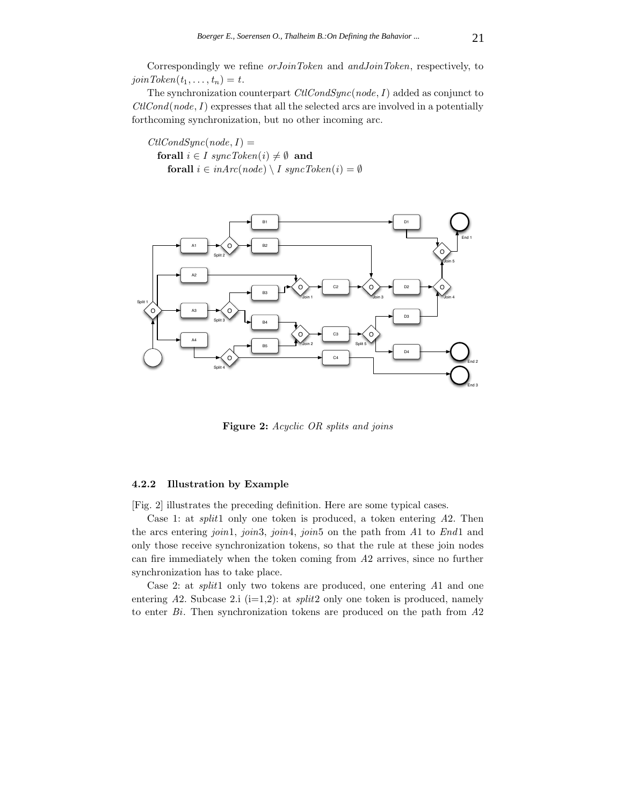Correspondingly we refine *orJoinToken* and *andJoinToken*, respectively, to  $joinToken(t_1, \ldots, t_n) = t.$ 

The synchronization counterpart *CtlCondSync*(*node,I*) added as conjunct to *CtlCond*(*node,I*) expresses that all the selected arcs are involved in a potentially forthcoming synchronization, but no other incoming arc.

 $CtlCondSunc(node, I) =$ **forall**  $i \in I$  syncToken $(i) \neq \emptyset$  **and forall**  $i \in inArc(node) \setminus I$  syncToken $(i) = \emptyset$ 



**Figure 2:** *Acyclic OR splits and joins*

#### **4.2.2 Illustration by Example**

[Fig. 2] illustrates the preceding definition. Here are some typical cases.

Case 1: at *split*1 only one token is produced, a token entering *A*2. Then the arcs entering *join*1, *join*3, *join*4, *join*5 on the path from *A*1 to *End*1 and only those receive synchronization tokens, so that the rule at these join nodes can fire immediately when the token coming from *A*2 arrives, since no further synchronization has to take place.

Case 2: at *split*1 only two tokens are produced, one entering *A*1 and one entering  $A2$ . Subcase  $2.i$  (i=1,2): at *split*2 only one token is produced, namely to enter *Bi*. Then synchronization tokens are produced on the path from *A*2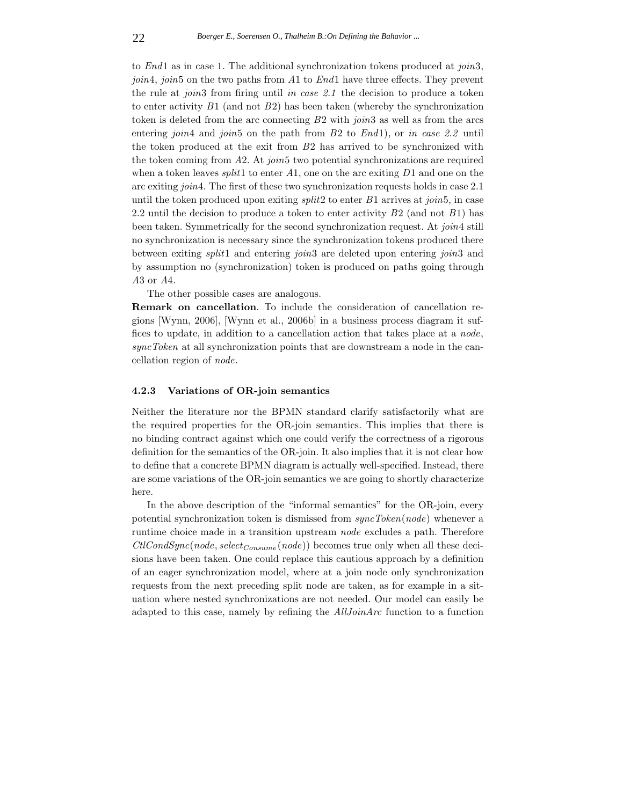to *End*1 as in case 1. The additional synchronization tokens produced at *join*3, *join*4, *join*5 on the two paths from *A*1 to *End*1 have three effects. They prevent the rule at *join*3 from firing until *in case 2.1* the decision to produce a token to enter activity *B*1 (and not *B*2) has been taken (whereby the synchronization token is deleted from the arc connecting *B*2 with *join*3 as well as from the arcs entering *join*4 and *join*5 on the path from *B*2 to *End*1), or *in case 2.2* until the token produced at the exit from *B*2 has arrived to be synchronized with the token coming from *A*2. At *join*5 two potential synchronizations are required when a token leaves *split*1 to enter *A*1, one on the arc exiting *D*1 and one on the arc exiting *join*4. The first of these two synchronization requests holds in case 2.1 until the token produced upon exiting *split*2 to enter *B*1 arrives at *join*5, in case 2.2 until the decision to produce a token to enter activity *B*2 (and not *B*1) has been taken. Symmetrically for the second synchronization request. At *join*4 still no synchronization is necessary since the synchronization tokens produced there between exiting *split*1 and entering *join*3 are deleted upon entering *join*3 and by assumption no (synchronization) token is produced on paths going through *A*3 or *A*4.

The other possible cases are analogous.

**Remark on cancellation**. To include the consideration of cancellation regions [Wynn, 2006], [Wynn et al., 2006b] in a business process diagram it suffices to update, in addition to a cancellation action that takes place at a *node*, *syncToken* at all synchronization points that are downstream a node in the cancellation region of *node*.

#### **4.2.3 Variations of OR-join semantics**

Neither the literature nor the BPMN standard clarify satisfactorily what are the required properties for the OR-join semantics. This implies that there is no binding contract against which one could verify the correctness of a rigorous definition for the semantics of the OR-join. It also implies that it is not clear how to define that a concrete BPMN diagram is actually well-specified. Instead, there are some variations of the OR-join semantics we are going to shortly characterize here.

In the above description of the "informal semantics" for the OR-join, every potential synchronization token is dismissed from *syncToken*(*node*) whenever a runtime choice made in a transition upstream *node* excludes a path. Therefore *CtlCondSync*(*node, selectConsume* (*node*)) becomes true only when all these decisions have been taken. One could replace this cautious approach by a definition of an eager synchronization model, where at a join node only synchronization requests from the next preceding split node are taken, as for example in a situation where nested synchronizations are not needed. Our model can easily be adapted to this case, namely by refining the *AllJoinArc* function to a function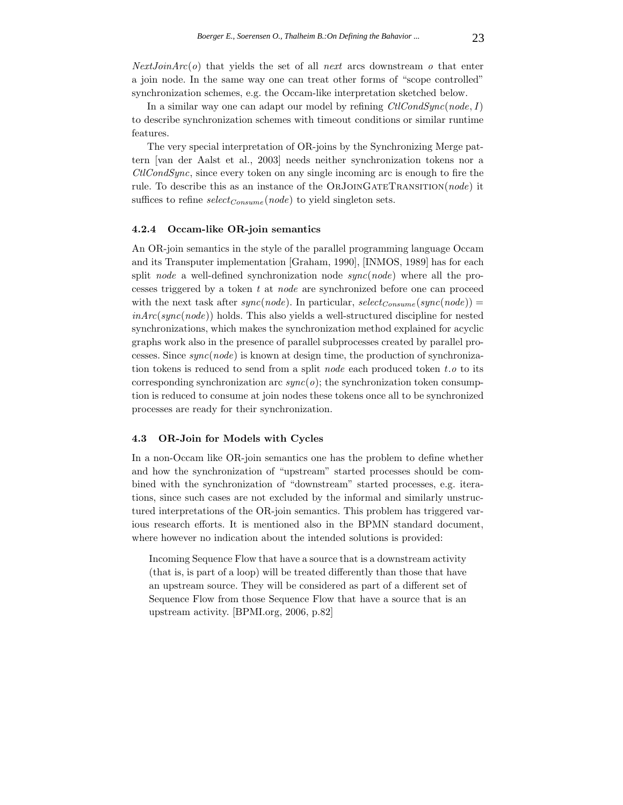*NextJoinArc*(*o*) that yields the set of all *next* arcs downstream *o* that enter a join node. In the same way one can treat other forms of "scope controlled" synchronization schemes, e.g. the Occam-like interpretation sketched below.

In a similar way one can adapt our model by refining *CtlCondSync*(*node,I*) to describe synchronization schemes with timeout conditions or similar runtime features.

The very special interpretation of OR-joins by the Synchronizing Merge pattern [van der Aalst et al., 2003] needs neither synchronization tokens nor a *CtlCondSync*, since every token on any single incoming arc is enough to fire the rule. To describe this as an instance of the OrJoinGateTransition(*node*) it suffices to refine *selectConsume* (*node*) to yield singleton sets.

# **4.2.4 Occam-like OR-join semantics**

An OR-join semantics in the style of the parallel programming language Occam and its Transputer implementation [Graham, 1990], [INMOS, 1989] has for each split *node* a well-defined synchronization node *sync*(*node*) where all the processes triggered by a token *t* at *node* are synchronized before one can proceed with the next task after  $sync(node)$ . In particular,  $select_{Consum}(sync(node))$ *inArc*(*sync*(*node*)) holds. This also yields a well-structured discipline for nested synchronizations, which makes the synchronization method explained for acyclic graphs work also in the presence of parallel subprocesses created by parallel processes. Since *sync*(*node*) is known at design time, the production of synchronization tokens is reduced to send from a split *node* each produced token *t.o* to its corresponding synchronization arc  $sync(o)$ ; the synchronization token consumption is reduced to consume at join nodes these tokens once all to be synchronized processes are ready for their synchronization.

#### **4.3 OR-Join for Models with Cycles**

In a non-Occam like OR-join semantics one has the problem to define whether and how the synchronization of "upstream" started processes should be combined with the synchronization of "downstream" started processes, e.g. iterations, since such cases are not excluded by the informal and similarly unstructured interpretations of the OR-join semantics. This problem has triggered various research efforts. It is mentioned also in the BPMN standard document, where however no indication about the intended solutions is provided:

Incoming Sequence Flow that have a source that is a downstream activity (that is, is part of a loop) will be treated differently than those that have an upstream source. They will be considered as part of a different set of Sequence Flow from those Sequence Flow that have a source that is an upstream activity. [BPMI.org, 2006, p.82]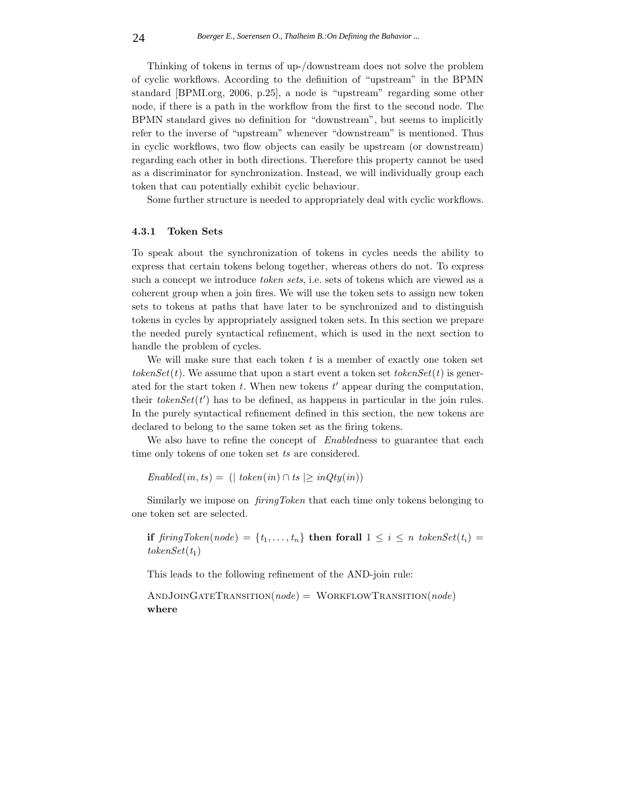Thinking of tokens in terms of up-/downstream does not solve the problem of cyclic workflows. According to the definition of "upstream" in the BPMN standard [BPMI.org, 2006, p.25], a node is "upstream" regarding some other node, if there is a path in the workflow from the first to the second node. The BPMN standard gives no definition for "downstream", but seems to implicitly refer to the inverse of "upstream" whenever "downstream" is mentioned. Thus in cyclic workflows, two flow objects can easily be upstream (or downstream) regarding each other in both directions. Therefore this property cannot be used as a discriminator for synchronization. Instead, we will individually group each token that can potentially exhibit cyclic behaviour.

Some further structure is needed to appropriately deal with cyclic workflows.

# **4.3.1 Token Sets**

To speak about the synchronization of tokens in cycles needs the ability to express that certain tokens belong together, whereas others do not. To express such a concept we introduce *token sets*, i.e. sets of tokens which are viewed as a coherent group when a join fires. We will use the token sets to assign new token sets to tokens at paths that have later to be synchronized and to distinguish tokens in cycles by appropriately assigned token sets. In this section we prepare the needed purely syntactical refinement, which is used in the next section to handle the problem of cycles.

We will make sure that each token *t* is a member of exactly one token set *tokenSet*(*t*). We assume that upon a start event a token set *tokenSet*(*t*) is generated for the start token  $t$ . When new tokens  $t'$  appear during the computation, their  $tokenSet(t')$  has to be defined, as happens in particular in the join rules. In the purely syntactical refinement defined in this section, the new tokens are declared to belong to the same token set as the firing tokens.

We also have to refine the concept of *Enabled*ness to guarantee that each time only tokens of one token set *ts* are considered.

 $Enabeled(in, ts) = (| token(in) \cap ts| > inQty(in))$ 

Similarly we impose on *firingToken* that each time only tokens belonging to one token set are selected.

**if**  $\int$ *firingToken*(*node*) =  $\{t_1, \ldots, t_n\}$  **then forall**  $1 \leq i \leq n$  *tokenSet*( $t_i$ ) =  $tokenSet(t_1)$ 

This leads to the following refinement of the AND-join rule:

AndJoinGateTransition(*node*) = WorkflowTransition(*node*) **where**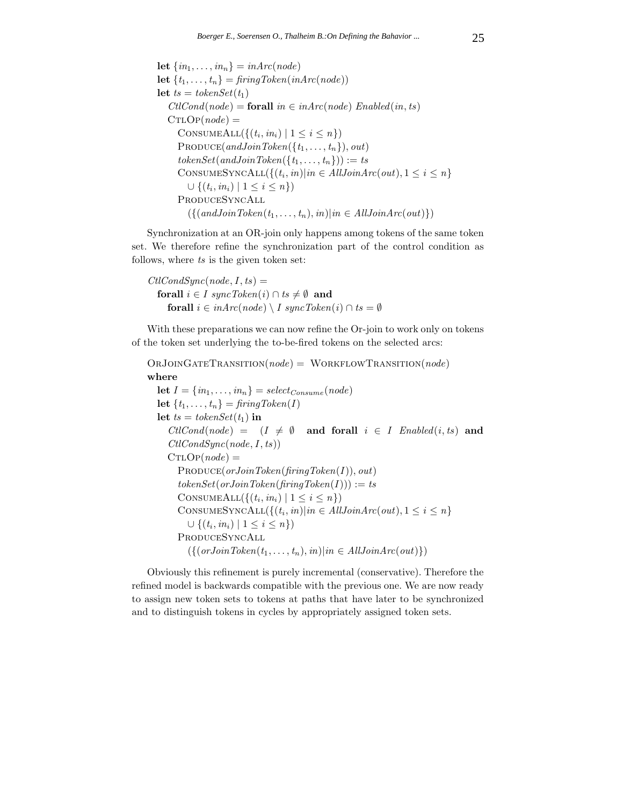**let**  $\{in_1, \ldots, in_n\} = inArc(node)$ **let**  $\{t_1, \ldots, t_n\} = \text{firingToken}(\text{inArc}(\text{node}))$ **let**  $ts = tokenSet(t_1)$  $CllCond(node) = \textbf{forall}$  *in*  $\in$  *inArc*(*node*) *Enabled*(*in, ts*)  $CTLOP(node) =$ CONSUMEALL( $\{(t_i, in_i) \mid 1 \leq i \leq n\}$ )  $\text{PRODuce}(andJoinToken(\lbrace t_1,\ldots,t_n \rbrace), out)$  $tokenSet(andJoinToken({t_1, \ldots, t_n})) := ts$ CONSUMESYNCALL( $\{(t_i, in)| in \in AllJoinArc(out), 1 \leq i \leq n\}$ ∪  $\{(t_i, in_i) \mid 1 \leq i \leq n\})$ ProduceSyncAll  $({{(andJoinToken(t<sub>1</sub>,...,t<sub>n</sub>),in)|in \in AllJoinArc(out)} })$ 

Synchronization at an OR-join only happens among tokens of the same token set. We therefore refine the synchronization part of the control condition as follows, where *ts* is the given token set:

 $CtlCondSync(node, I, ts) =$ **forall**  $i \in I$  syncToken( $i$ ) ∩  $ts \neq \emptyset$  and **forall**  $i \in inArc(node) \setminus I$  syncToken $(i) \cap ts = \emptyset$ 

With these preparations we can now refine the Or-join to work only on tokens of the token set underlying the to-be-fired tokens on the selected arcs:

```
OrJoinGateTransition(node) = WorkflowTransition(node)
where
  let I = \{in_1, \ldots, in_n\} = select_{Consum}(node)let \{t_1, \ldots, t_n\} = \text{fringToken}(I)let ts = tokenSet(t_1) in
     ClCond(node) = (I \neq \emptyset \text{ and for all } i \in I \text{ } Endled(i, ts) \text{ and }CtlCondSync(node,I, ts))
     CTLOP(node) =Produce(orJoinToken(firingToken(I)), out)
       tokenSet(orJoinToken(firingToken(I))) := tsCONSUMEALL(\{(t_i, in_i) \mid 1 \leq i \leq n\})
       CONSUMESYNCALL(\{(t_i, in)|in \in AllJoinArc(out), 1 \leq i \leq n\}∪ \{(t_i, in_i) \mid 1 \leq i \leq n\})ProduceSyncAll
          ({{(orJoinToken(t<sub>1</sub>,...,t<sub>n</sub>), in)|in \in AllJoinArc(out)}})
```
Obviously this refinement is purely incremental (conservative). Therefore the refined model is backwards compatible with the previous one. We are now ready to assign new token sets to tokens at paths that have later to be synchronized and to distinguish tokens in cycles by appropriately assigned token sets.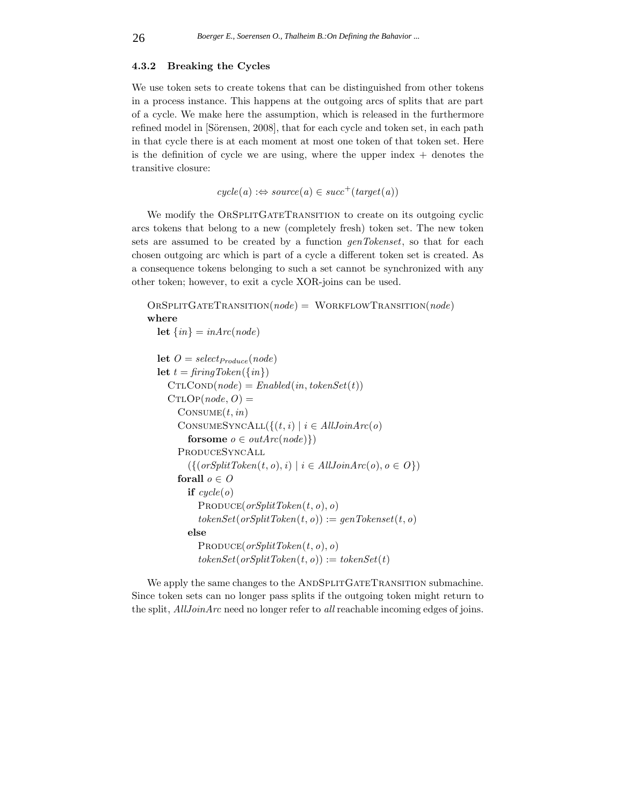#### **4.3.2 Breaking the Cycles**

We use token sets to create tokens that can be distinguished from other tokens in a process instance. This happens at the outgoing arcs of splits that are part of a cycle. We make here the assumption, which is released in the furthermore refined model in [Sörensen, 2008], that for each cycle and token set, in each path in that cycle there is at each moment at most one token of that token set. Here is the definition of cycle we are using, where the upper index  $+$  denotes the transitive closure:

 $cycle(a) :\Leftrightarrow source(a) \in succ^+(target(a))$ 

We modify the ORSPLITGATETRANSITION to create on its outgoing cyclic arcs tokens that belong to a new (completely fresh) token set. The new token sets are assumed to be created by a function *genTokenset*, so that for each chosen outgoing arc which is part of a cycle a different token set is created. As a consequence tokens belonging to such a set cannot be synchronized with any other token; however, to exit a cycle XOR-joins can be used.

```
OrSplitGateTransition(node) = WorkflowTransition(node)
where
  let \{in\} = inArc(node)let O = \text{select}_{\text{Product}}(\text{node})let t = \text{fringToken}(\{\text{in}\})CTLCOND(node) = Enabled(in, tokenSet(t))CTLOP(node, O) =\text{CONSUME}(t, in)CONSUMESYNCALL(\{(t, i) | i \in AllJoinArc(o))
        forsome o \in outArc(node)ProduceSyncAll
        ({{(orSplitToken(t, o), i) | i \in AllJoinArc(o), o \in O})forall o \in Oif cycle(o)PRODuce(</math>
        else
           PRODuce(</math><i>orSplitToken</i><math>(t, o)</math><i>, o</i><math>)tokenSet(</math><i>orSplitToken(t, o)) := tokenSet(t)
```
We apply the same changes to the ANDSPLITGATETRANSITION submachine. Since token sets can no longer pass splits if the outgoing token might return to the split, *AllJoinArc* need no longer refer to *all* reachable incoming edges of joins.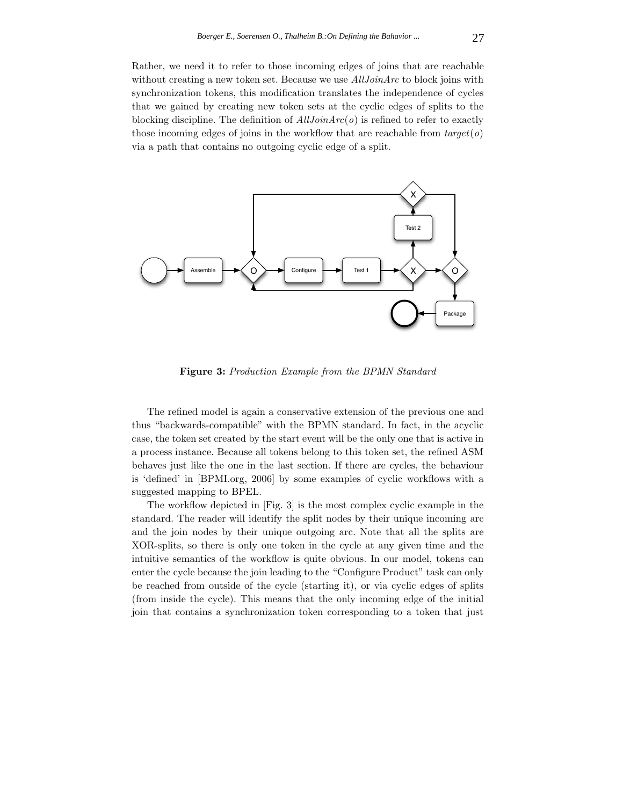Rather, we need it to refer to those incoming edges of joins that are reachable without creating a new token set. Because we use *AllJoinArc* to block joins with synchronization tokens, this modification translates the independence of cycles that we gained by creating new token sets at the cyclic edges of splits to the blocking discipline. The definition of *AllJoinArc*(*o*) is refined to refer to exactly those incoming edges of joins in the workflow that are reachable from *target*(*o*) via a path that contains no outgoing cyclic edge of a split.



**Figure 3:** *Production Example from the BPMN Standard*

The refined model is again a conservative extension of the previous one and thus "backwards-compatible" with the BPMN standard. In fact, in the acyclic case, the token set created by the start event will be the only one that is active in a process instance. Because all tokens belong to this token set, the refined ASM behaves just like the one in the last section. If there are cycles, the behaviour is 'defined' in [BPMI.org, 2006] by some examples of cyclic workflows with a suggested mapping to BPEL.

The workflow depicted in [Fig. 3] is the most complex cyclic example in the standard. The reader will identify the split nodes by their unique incoming arc and the join nodes by their unique outgoing arc. Note that all the splits are XOR-splits, so there is only one token in the cycle at any given time and the intuitive semantics of the workflow is quite obvious. In our model, tokens can enter the cycle because the join leading to the "Configure Product" task can only be reached from outside of the cycle (starting it), or via cyclic edges of splits (from inside the cycle). This means that the only incoming edge of the initial join that contains a synchronization token corresponding to a token that just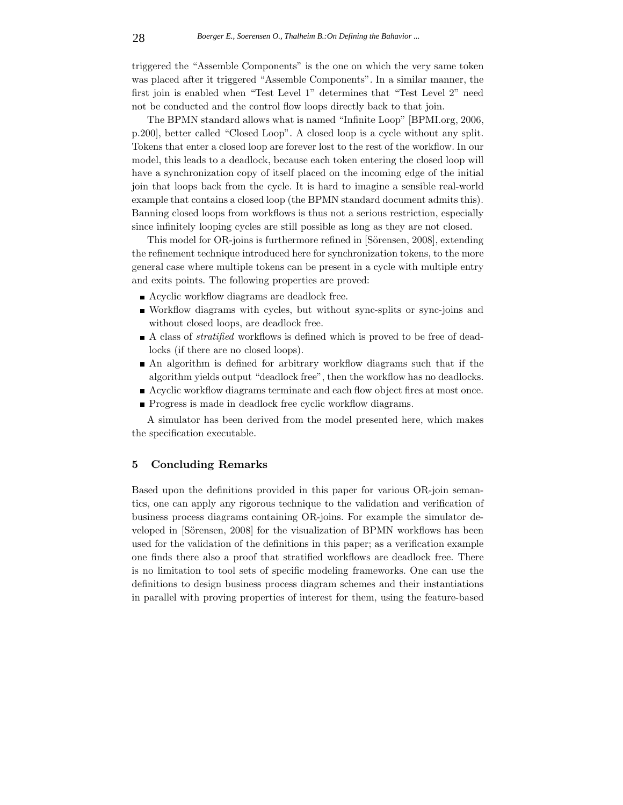triggered the "Assemble Components" is the one on which the very same token was placed after it triggered "Assemble Components". In a similar manner, the first join is enabled when "Test Level 1" determines that "Test Level 2" need not be conducted and the control flow loops directly back to that join.

The BPMN standard allows what is named "Infinite Loop" [BPMI.org, 2006, p.200], better called "Closed Loop". A closed loop is a cycle without any split. Tokens that enter a closed loop are forever lost to the rest of the workflow. In our model, this leads to a deadlock, because each token entering the closed loop will have a synchronization copy of itself placed on the incoming edge of the initial join that loops back from the cycle. It is hard to imagine a sensible real-world example that contains a closed loop (the BPMN standard document admits this). Banning closed loops from workflows is thus not a serious restriction, especially since infinitely looping cycles are still possible as long as they are not closed.

This model for OR-joins is furthermore refined in [Sörensen, 2008], extending the refinement technique introduced here for synchronization tokens, to the more general case where multiple tokens can be present in a cycle with multiple entry and exits points. The following properties are proved:

- Acyclic workflow diagrams are deadlock free.
- Workflow diagrams with cycles, but without sync-splits or sync-joins and without closed loops, are deadlock free.
- A class of *stratified* workflows is defined which is proved to be free of deadlocks (if there are no closed loops).
- An algorithm is defined for arbitrary workflow diagrams such that if the algorithm yields output "deadlock free", then the workflow has no deadlocks.
- Acyclic workflow diagrams terminate and each flow object fires at most once.
- **Progress is made in deadlock free cyclic workflow diagrams.**

A simulator has been derived from the model presented here, which makes the specification executable.

# **5 Concluding Remarks**

Based upon the definitions provided in this paper for various OR-join semantics, one can apply any rigorous technique to the validation and verification of business process diagrams containing OR-joins. For example the simulator developed in [Sörensen, 2008] for the visualization of BPMN workflows has been used for the validation of the definitions in this paper; as a verification example one finds there also a proof that stratified workflows are deadlock free. There is no limitation to tool sets of specific modeling frameworks. One can use the definitions to design business process diagram schemes and their instantiations in parallel with proving properties of interest for them, using the feature-based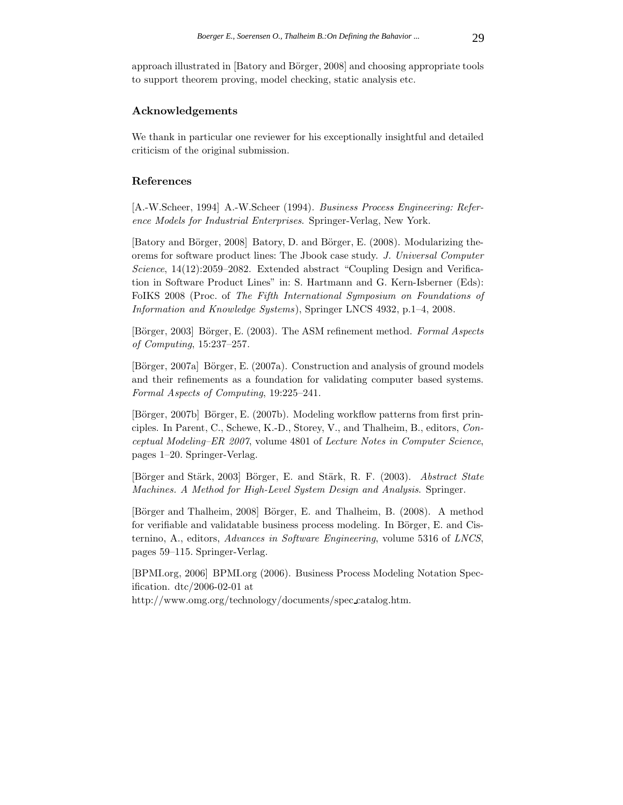approach illustrated in [Batory and Börger, 2008] and choosing appropriate tools to support theorem proving, model checking, static analysis etc.

# **Acknowledgements**

We thank in particular one reviewer for his exceptionally insightful and detailed criticism of the original submission.

### **References**

[A.-W.Scheer, 1994] A.-W.Scheer (1994). *Business Process Engineering: Reference Models for Industrial Enterprises*. Springer-Verlag, New York.

[Batory and Börger, 2008] Batory, D. and Börger, E. (2008). Modularizing theorems for software product lines: The Jbook case study. *J. Universal Computer Science*, 14(12):2059–2082. Extended abstract "Coupling Design and Verification in Software Product Lines" in: S. Hartmann and G. Kern-Isberner (Eds): FoIKS 2008 (Proc. of *The Fifth International Symposium on Foundations of Information and Knowledge Systems*), Springer LNCS 4932, p.1–4, 2008.

[Börger, 2003] Börger, E. (2003). The ASM refinement method. *Formal Aspects of Computing*, 15:237–257.

[Börger, 2007a] Börger, E. (2007a). Construction and analysis of ground models and their refinements as a foundation for validating computer based systems. *Formal Aspects of Computing*, 19:225–241.

[Börger, 2007b] Börger, E. (2007b). Modeling workflow patterns from first principles. In Parent, C., Schewe, K.-D., Storey, V., and Thalheim, B., editors, *Conceptual Modeling–ER 2007*, volume 4801 of *Lecture Notes in Computer Science*, pages 1–20. Springer-Verlag.

[B¨orger and St¨ark, 2003] B¨orger, E. and St¨ark, R. F. (2003). *Abstract State Machines. A Method for High-Level System Design and Analysis*. Springer.

[B¨orger and Thalheim, 2008] B¨orger, E. and Thalheim, B. (2008). A method for verifiable and validatable business process modeling. In Börger, E. and Cisternino, A., editors, *Advances in Software Engineering*, volume 5316 of *LNCS*, pages 59–115. Springer-Verlag.

[BPMI.org, 2006] BPMI.org (2006). Business Process Modeling Notation Specification. dtc/2006-02-01 at

http://www.omg.org/technology/documents/spec catalog.htm.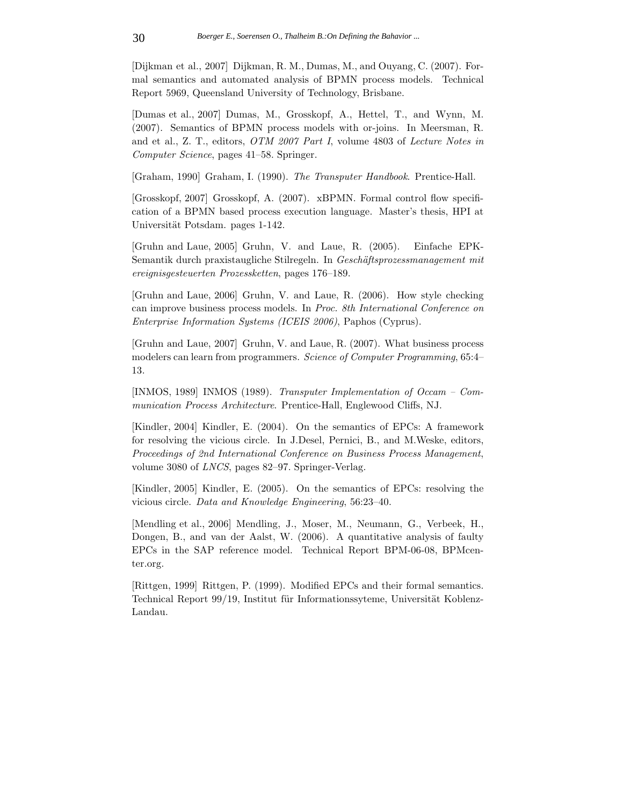[Dijkman et al., 2007] Dijkman, R. M., Dumas, M., and Ouyang, C. (2007). Formal semantics and automated analysis of BPMN process models. Technical Report 5969, Queensland University of Technology, Brisbane.

[Dumas et al., 2007] Dumas, M., Grosskopf, A., Hettel, T., and Wynn, M. (2007). Semantics of BPMN process models with or-joins. In Meersman, R. and et al., Z. T., editors, *OTM 2007 Part I*, volume 4803 of *Lecture Notes in Computer Science*, pages 41–58. Springer.

[Graham, 1990] Graham, I. (1990). *The Transputer Handbook*. Prentice-Hall.

[Grosskopf, 2007] Grosskopf, A. (2007). xBPMN. Formal control flow specification of a BPMN based process execution language. Master's thesis, HPI at Universität Potsdam. pages 1-142.

[Gruhn and Laue, 2005] Gruhn, V. and Laue, R. (2005). Einfache EPK-Semantik durch praxistaugliche Stilregeln. In *Gesch¨aftsprozessmanagement mit ereignisgesteuerten Prozessketten*, pages 176–189.

[Gruhn and Laue, 2006] Gruhn, V. and Laue, R. (2006). How style checking can improve business process models. In *Proc. 8th International Conference on Enterprise Information Systems (ICEIS 2006)*, Paphos (Cyprus).

[Gruhn and Laue, 2007] Gruhn, V. and Laue, R. (2007). What business process modelers can learn from programmers. *Science of Computer Programming*, 65:4– 13.

[INMOS, 1989] INMOS (1989). *Transputer Implementation of Occam – Communication Process Architecture*. Prentice-Hall, Englewood Cliffs, NJ.

[Kindler, 2004] Kindler, E. (2004). On the semantics of EPCs: A framework for resolving the vicious circle. In J.Desel, Pernici, B., and M.Weske, editors, *Proceedings of 2nd International Conference on Business Process Management*, volume 3080 of *LNCS*, pages 82–97. Springer-Verlag.

[Kindler, 2005] Kindler, E. (2005). On the semantics of EPCs: resolving the vicious circle. *Data and Knowledge Engineering*, 56:23–40.

[Mendling et al., 2006] Mendling, J., Moser, M., Neumann, G., Verbeek, H., Dongen, B., and van der Aalst, W. (2006). A quantitative analysis of faulty EPCs in the SAP reference model. Technical Report BPM-06-08, BPMcenter.org.

[Rittgen, 1999] Rittgen, P. (1999). Modified EPCs and their formal semantics. Technical Report 99/19, Institut für Informationssyteme, Universität Koblenz-Landau.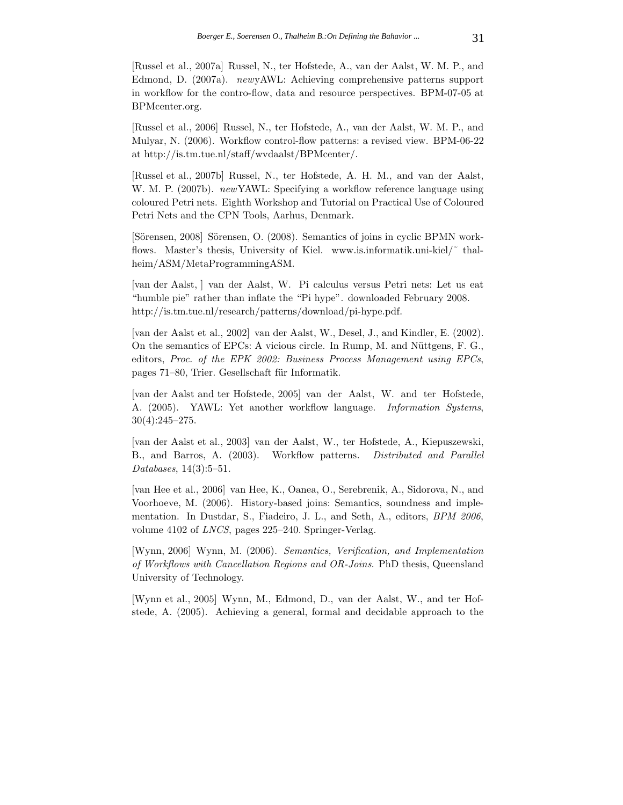[Russel et al., 2007a] Russel, N., ter Hofstede, A., van der Aalst, W. M. P., and Edmond, D. (2007a). *new*yAWL: Achieving comprehensive patterns support in workflow for the contro-flow, data and resource perspectives. BPM-07-05 at BPMcenter.org.

[Russel et al., 2006] Russel, N., ter Hofstede, A., van der Aalst, W. M. P., and Mulyar, N. (2006). Workflow control-flow patterns: a revised view. BPM-06-22 at http://is.tm.tue.nl/staff/wvdaalst/BPMcenter/.

[Russel et al., 2007b] Russel, N., ter Hofstede, A. H. M., and van der Aalst, W. M. P. (2007b). *new*YAWL: Specifying a workflow reference language using coloured Petri nets. Eighth Workshop and Tutorial on Practical Use of Coloured Petri Nets and the CPN Tools, Aarhus, Denmark.

[Sörensen, 2008] Sörensen, O. (2008). Semantics of joins in cyclic BPMN workflows. Master's thesis, University of Kiel. www.is.informatik.uni-kiel/ $\tilde{ }$  thalheim/ASM/MetaProgrammingASM.

[van der Aalst, ] van der Aalst, W. Pi calculus versus Petri nets: Let us eat "humble pie" rather than inflate the "Pi hype". downloaded February 2008. http://is.tm.tue.nl/research/patterns/download/pi-hype.pdf.

[van der Aalst et al., 2002] van der Aalst, W., Desel, J., and Kindler, E. (2002). On the semantics of EPCs: A vicious circle. In Rump, M. and Nüttgens, F. G., editors, *Proc. of the EPK 2002: Business Process Management using EPCs*, pages 71–80, Trier. Gesellschaft für Informatik.

[van der Aalst and ter Hofstede, 2005] van der Aalst, W. and ter Hofstede, A. (2005). YAWL: Yet another workflow language. *Information Systems*, 30(4):245–275.

[van der Aalst et al., 2003] van der Aalst, W., ter Hofstede, A., Kiepuszewski, B., and Barros, A. (2003). Workflow patterns. *Distributed and Parallel Databases*, 14(3):5–51.

[van Hee et al., 2006] van Hee, K., Oanea, O., Serebrenik, A., Sidorova, N., and Voorhoeve, M. (2006). History-based joins: Semantics, soundness and implementation. In Dustdar, S., Fiadeiro, J. L., and Seth, A., editors, *BPM 2006*, volume 4102 of *LNCS*, pages 225–240. Springer-Verlag.

[Wynn, 2006] Wynn, M. (2006). *Semantics, Verification, and Implementation of Workflows with Cancellation Regions and OR-Joins*. PhD thesis, Queensland University of Technology.

[Wynn et al., 2005] Wynn, M., Edmond, D., van der Aalst, W., and ter Hofstede, A. (2005). Achieving a general, formal and decidable approach to the